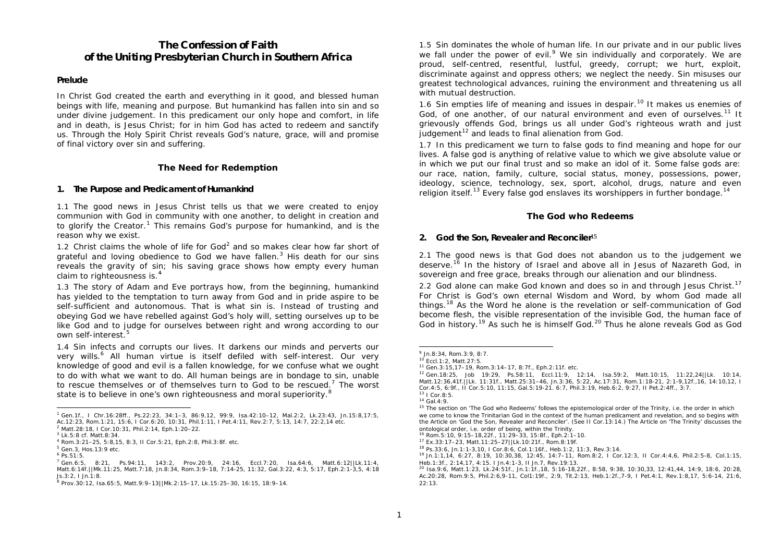# **The Confession of Faith of the Uniting Presbyterian Church in Southern Africa**

### **Prelude**

In Christ God created the earth and everything in it good, and blessed human beings with life, meaning and purpose. But humankind has fallen into sin and so under divine judgement. In this predicament our only hope and comfort, in life and in death, is Jesus Christ; for in him God has acted to redeem and sanctify us. Through the Holy Spirit Christ reveals God's nature, grace, will and promise of final victory over sin and suffering.

### **The Need for Redemption**

### **1. The Purpose and Predicament of Humankind**

1.1 The good news in Jesus Christ tells us that we were created to enjoy communion with God in community with one another, to delight in creation and to glorify the Creator.<sup>1</sup> This remains God's purpose for humankind, and is the reason why we exist.

1.2 Christ claims the whole of life for God<sup>2</sup> and so makes clear how far short of grateful and loving obedience to God we have fallen.<sup>3</sup> His death for our sins reveals the gravity of sin; his saving grace shows how empty every human claim to righteousness is.<sup>4</sup>

1.3 The story of Adam and Eve portrays how, from the beginning, humankind has yielded to the temptation to turn away from God and in pride aspire to be self-sufficient and autonomous. That is what sin is. Instead of trusting and obeying God we have rebelled against God's holy will, setting ourselves up to be like God and to judge for ourselves between right and wrong according to our own self-interest.<sup>5</sup>

1.4 Sin infects and corrupts our lives. It darkens our minds and perverts our very wills.<sup>6</sup> All human virtue is itself defiled with self-interest. Our very knowledge of good and evil is a fallen knowledge, for we confuse what we ought to do with what we want to do. All human beings are in bondage to sin, unable to rescue themselves or of themselves turn to God to be rescued.<sup>7</sup> The worst state is to believe in one's own righteousness and moral superiority.<sup>8</sup>

1.5 Sin dominates the whole of human life. In our private and in our public lives we fall under the power of evil. $9$  We sin individually and corporately. We are proud, self-centred, resentful, lustful, greedy, corrupt; we hurt, exploit, discriminate against and oppress others; we neglect the needy. Sin misuses our greatest technological advances, ruining the environment and threatening us all with mutual destruction.

1.6 Sin empties life of meaning and issues in despair.<sup>10</sup> It makes us enemies of God, of one another, of our natural environment and even of ourselves.<sup>11</sup> It grievously offends God, brings us all under God's righteous wrath and just judgement $12$  and leads to final alienation from God.

1.7 In this predicament we turn to false gods to find meaning and hope for our lives. A false god is anything of relative value to which we give absolute value or in which we put our final trust and so make an idol of it. Some false gods are: our race, nation, family, culture, social status, money, possessions, power, ideology, science, technology, sex, sport, alcohol, drugs, nature and even religion itself.<sup>13</sup> Every false god enslaves its worshippers in further bondage.<sup>14</sup>

# **The God who Redeems**

### **2. God the Son, Revealer and Reconciler**<sup>15</sup>

2.1 The good news is that God does not abandon us to the judgement we deserve.<sup>16</sup> In the history of Israel and above all in Jesus of Nazareth God, in sovereign and free grace, breaks through our alienation and our blindness.

2.2 God alone can make God known and does so in and through Jesus Christ.<sup>17</sup> For Christ is God's own eternal Wisdom and Word, by whom God made all things.<sup>18</sup> As the Word he alone is the revelation or self-communication of God become flesh, the visible representation of the invisible God, the human face of God in history.<sup>19</sup> As such he is himself God.<sup>20</sup> Thus he alone reveals God as God

ł

 <sup>1</sup> Gen.1f., I Chr.16:28ff., Ps.22:23, 34:1–3, 86:9,12, 99:9, Isa.42:10–12, Mal.2:2, Lk.23:43, Jn.15:8,17:5, Ac.12:23, Rom.1:21, 15:6, I Cor.6:20, 10:31, Phil.1:11, I Pet.4:11, Rev.2:7, 5:13, 14:7, 22:2,14 etc.

<sup>2</sup> Matt.28:18, I Cor.10:31, Phil.2:14, Eph.1:20–22.

<sup>3</sup> Lk.5:8 cf. Matt.8:34.

<sup>4</sup> Rom.3:21–25, 5:8,15, 8:3, II Cor.5:21, Eph.2:8, Phil.3:8f. etc.

<sup>5</sup> Gen.3, Hos.13:9 etc.

<sup>6</sup> Ps.51:5.

 $\frac{7}{1}$  Gen.6:5, 8:21, Ps.94:11, 143:2, Prov.20:9, 24:16, Eccl.7:20, Isa.64:6, Matt.6:12||Lk.11:4, Matt.6:14f.||Mk.11:25, Matt.7:18, Jn.8:34, Rom.3:9–18, 7:14-25, 11:32, Gal.3:22, 4:3, 5:17, Eph.2:1-3,5, 4:18 Js.3:2, I Jn.1:8.

<sup>8</sup> Prov.30:12, Isa.65:5, Matt.9:9–13||Mk.2:15–17, Lk.15:25–30, 16:15, 18:9–14.

<sup>9</sup> Jn.8:34, Rom.3:9, 8:7.

<sup>10</sup> Eccl.1:2, Matt.27:5.

<sup>11</sup> Gen.3:15,17–19, Rom.3:14–17, 8:7f., Eph.2:11f. etc.

<sup>12</sup> Gen.18:25, Job 19:29, Ps.58:11, Eccl.11:9, 12:14, Isa.59:2, Matt.10:15, 11:22,24||Lk. 10:14, Matt.12:36,41f.||Lk. 11:31f., Matt.25:31–46, Jn.3:36, 5:22, Ac.17:31, Rom.1:18-21, 2:1-9,12f.,16, 14:10,12, I Cor.4:5, 6:9f., II Cor.5:10, 11:15, Gal.5:19-21. 6:7, Phil.3:19, Heb.6:2, 9:27, II Pet.2:4ff., 3:7. <sup>13</sup> I Cor.8:5.

<sup>14</sup> Gal.4:9.

<sup>&</sup>lt;sup>15</sup> The section on 'The God who Redeems' follows the epistemological order of the Trinity, i.e. the order in which we come to know the Trinitarian God in the context of the human predicament and revelation, and so begins with the Article on 'God the Son, Revealer and Reconciler'. (See II Cor.13:14.) The Article on 'The Trinity' discusses the ontological order, i.e. order of being, within the Trinity.

<sup>16</sup> Rom.5:10, 9:15–18,22f., 11:29–33, 15:8f., Eph.2:1–10.

<sup>17</sup> Ex.33:17–23, Matt.11:25–27||Lk.10:21f., Rom.8:19f.

<sup>18</sup> Ps.33:6, Jn.1:1-3,10, I Cor.8:6, Col.1:16f., Heb.1:2, 11:3, Rev.3:14.

<sup>19</sup> Jn.1:1,14, 6:27, 8:19, 10:30,38, 12:45, 14:7–11, Rom.8:2, I Cor.12:3, II Cor.4:4,6, Phil.2:5-8, Col.1:15, Heb.1:3f., 2:14,17, 4:15. I Jn.4:1-3, II Jn.7, Rev.19:13.

<sup>20</sup> Isa.9:6, Matt.1:23, Lk.24:51f., Jn.1:1f.,18, 5:16-18,22f., 8:58, 9:38, 10:30,33, 12:41,44, 14:9, 18:6, 20:28, Ac.20:28, Rom.9:5, Phil.2:6,9-11, Col1:19f., 2:9, Tit.2:13, Heb.1:2f.,7-9, I Pet.4:1, Rev.1:8,17, 5:6-14, 21:6, 22:13.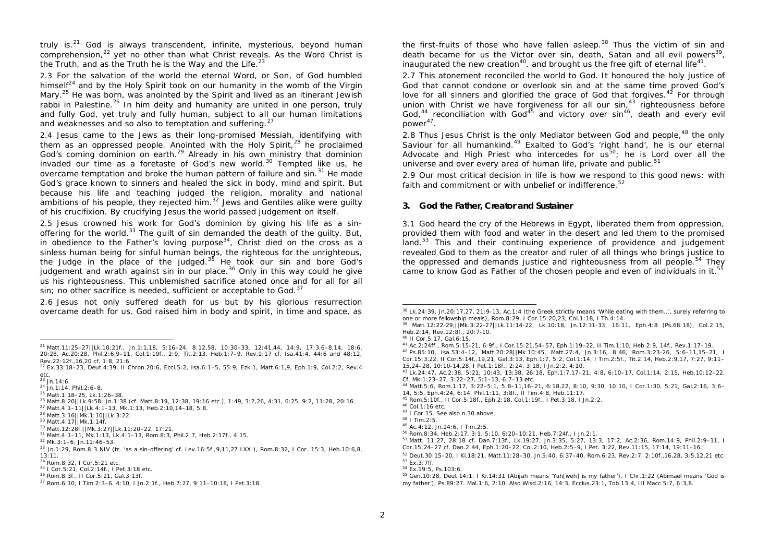truly is. $21$  God is always transcendent, infinite, mysterious, beyond human comprehension,<sup>22</sup> yet no other than what Christ reveals. As the Word Christ is the Truth, and as the Truth he is the Way and the Life. $23$ 

2.3 For the salvation of the world the eternal Word, or Son, of God humbled himself $^{24}$  and by the Holy Spirit took on our humanity in the womb of the Virgin Mary.<sup>25</sup> He was born, was anointed by the Spirit and lived as an itinerant Jewish rabbi in Palestine.<sup>26</sup> In him deity and humanity are united in one person, truly and fully God, yet truly and fully human, subject to all our human limitations and weaknesses and so also to temptation and suffering.<sup>27</sup>

2.4 Jesus came to the Jews as their long-promised Messiah, identifying with them as an oppressed people. Anointed with the Holy Spirit, $28$  he proclaimed God's coming dominion on earth.<sup>29</sup> Already in his own ministry that dominion invaded our time as a foretaste of God's new world.<sup>30</sup> Tempted like us, he overcame temptation and broke the human pattern of failure and  $\sin^{31}$  He made God's grace known to sinners and healed the sick in body, mind and spirit. But because his life and teaching judged the religion, morality and national ambitions of his people, they rejected him.<sup>32</sup> Jews and Gentiles alike were quilty of his crucifixion. By crucifying Jesus the world passed judgement on itself.

2.5 Jesus crowned his work for God's dominion by giving his life as a sinoffering for the world.<sup>33</sup> The quilt of sin demanded the death of the guilty. But, in obedience to the Father's loving purpose<sup>34</sup>, Christ died on the cross as a sinless human being for sinful human beings, the righteous for the unrighteous, the Judge in the place of the judged. $35$  He took our sin and bore God's judgement and wrath against sin in our place.<sup>36</sup> Only in this way could he give us his righteousness. This unblemished sacrifice atoned once and for all for all sin; no other sacrifice is needed, sufficient or acceptable to God. $37$ 

2.6 Jesus not only suffered death for us but by his glorious resurrection overcame death for us. God raised him in body and spirit, in time and space, as

ł

the first-fruits of those who have fallen asleep.<sup>38</sup> Thus the victim of sin and death became for us the Victor over sin, death, Satan and all evil powers<sup>39</sup>, inaugurated the new creation<sup>40</sup>. and brought us the free gift of eternal life<sup>41</sup>.

2.7 This atonement reconciled the world to God. It honoured the holy justice of God that cannot condone or overlook sin and at the same time proved God's love for all sinners and glorified the grace of God that forgives.<sup>42</sup> For through union with Christ we have forgiveness for all our sin,  $43$  righteousness before God,<sup>44</sup> reconciliation with God<sup>45</sup> and victory over sin<sup>46</sup>, death and every evil power<sup>47</sup>.

2.8 Thus Jesus Christ is the only Mediator between God and people,  $48$  the only Saviour for all humankind.<sup>49</sup> Exalted to God's 'right hand', he is our eternal Advocate and High Priest who intercedes for  $u_s^{50}$ ; he is Lord over all the universe and over every area of human life, private and public.<sup>51</sup>

2.9 Our most critical decision in life is how we respond to this good news: with faith and commitment or with unbelief or indifference.<sup>52</sup>

### **3. God the Father, Creator and Sustainer**

3.1 God heard the cry of the Hebrews in Egypt, liberated them from oppression, provided them with food and water in the desert and led them to the promised land. $53$  This and their continuing experience of providence and judgement revealed God to them as the creator and ruler of all things who brings justice to the oppressed and demands justice and righteousness from all people.<sup>54</sup> They came to know God as Father of the chosen people and even of individuals in it.<sup>55</sup>

j

<sup>45</sup> Rom.5:10f., II Cor.5:18f., Eph.2:18, Col.1:19f., I Pet.3:18, I Jn.2:2.

<sup>52</sup> Deut.30:15–20, I Ki.18:21, Matt.11:28–30, Jn.5:40, 6:37–40, Rom.6:23, Rev.2:7, 2:10f.,16,28, 3:5,12,21 etc. <sup>53</sup> Ex.3:7ff.

<sup>21</sup> Matt.11:25–27||Lk.10:21f., Jn.1:1,18, 5:16–24, 8:12,58, 10:30–33, 12:41,44, 14:9, 17:3,6–8,14, 18:6, 20:28, Ac.20:28, Phil.2:6,9–11, Col.1:19f., 2:9, Tit.2:13, Heb.1:7–9, Rev.1:17 cf. Isa.41:4, 44:6 and 48:12, Rev.22:12f.,16,20 cf. 1:8, 21:6.

<sup>22</sup> Ex.33:18–23, Deut.4:39, II Chron.20:6, Eccl.5:2, Isa.6:1–5, 55:9, Ezk.1, Matt.6:1,9, Eph.1:9, Col.2:2, Rev.4 etc.

 $^{23}$  Jn.14:6.

<sup>24</sup> Jn.1:14, Phil.2:6–8.

<sup>25</sup> Matt.1:18–25, Lk.1:26–38.

<sup>26</sup> Matt.8:20||Lk.9:58; Jn.1:38 (cf. Matt.8:19, 12:38, 19:16 etc.), 1:49, 3:2,26, 4:31, 6:25, 9:2, 11:28, 20:16.

<sup>27</sup> Matt.4:1–11||Lk.4:1–13, Mk.1:13, Heb.2:10,14–18, 5:8. <sup>28</sup> Matt.3:16||Mk.1:10||Lk.3:22.

<sup>29</sup> Matt.4:17||Mk.1:14f.

<sup>30</sup> Matt.12:28f.||Mk.3:27||Lk.11:20–22, 17:21. <sup>31</sup> Matt.4:1–11, Mk.1:13, Lk.4:1–13, Rom.8:3, Phil.2:7, Heb.2:17f., 4:15.

<sup>32</sup> Mk.3:1–6, Jn.11:46–53.

<sup>33</sup> Jn.1:29, Rom.8:3 NIV (tr. 'as a sin-offering' cf. Lev.16:5f.,9,11,27 LXX ), Rom.8:32, I Cor. 15:3, Heb.10:6,8, 13:11.

<sup>34</sup> Rom.8:32, I Cor.5:21 etc.

<sup>35</sup> I Cor.5:21, Col.2:14f., I Pet.3:18 etc.

<sup>36</sup> Rom.8:3f., II Cor.5:21, Gal.3:13f.

<sup>37</sup> Rom.6:10, I Tim.2:3–6. 4:10, I Jn.2:1f., Heb.7:27, 9:11–10:18, I Pet.3:18.

<sup>38</sup> Lk.24:39, Jn.20:17,27, 21:9-13, Ac.1:4 (the Greek strictly means 'While eating with them…', surely referring to one or more fellowship meals), Rom.8:29, I Cor.15:20,23, Col.1:18, I Th.4:14.

<sup>39</sup> Matt.12:22-29,||Mk.3:22-27||Lk.11:14-22, Lk.10:18, Jn.12:31-33, 16:11, Eph.4:8 (Ps.68:18), Col.2:15, Heb.2:14, Rev.12:8f., 20:7-10.

<sup>40</sup> II Cor.5:17, Gal.6:15.

<sup>41</sup> Ac.2:24ff., Rom.5:15-21, 6:9f., I Cor.15:21,54–57, Eph.1:19–22, II Tim.1:10, Heb.2:9, 14f., Rev.1:17–19.

<sup>42</sup> Ps.85:10, Isa.53:4–12, Matt.20:28||Mk.10:45, Matt.27:4, Jn.3:16, 8:46, Rom.3:23-26, 5:6–11,15–21, I Cor.15:3,22, II Cor.5:14f.,19,21, Gal.3:13, Eph.1:7, 5:2, Col.1:14, I Tim.2:5f., Tit.2:14, Heb.2:9,17, 7:27, 9:11– 15,24–28, 10:10-14,28, I Pet.1:18f., 2:24, 3:18, I Jn.2:2, 4:10.

<sup>43</sup> Lk.24:47, Ac.2:38, 5:21, 10:43, 13:38, 26:18, Eph.1:7,17–21, 4:8, 6:10–17, Col.1:14, 2:15, Heb.10:12–22. Cf. Mk.1:23–27, 3:22–27, 5:1–13, 6:7–13 etc.

<sup>44</sup> Matt.5:6, Rom.1:17, 3:22–5:1, 5:8–11,16–21, 6:18,22, 8:10, 9:30, 10:10, I Cor.1:30, 5:21, Gal.2:16, 3:6– 14, 5:5, Eph.4:24, 6:14, Phil.1:11, 3:8f., II Tim.4:8, Heb.11:17.

<sup>46</sup> Col.1:16 etc.

<sup>47</sup> I Cor.15. See also n.30 above.

<sup>48</sup> I Tim.2:5.

<sup>49</sup> Ac.4:12, Jn.14:6, I Tim.2:5.

<sup>50</sup> Rom.8:34, Heb.2:17, 3:1, 5:10, 6:20–10:21, Heb.7:24f., I Jn.2:1.

<sup>51</sup> Matt. 11:27, 28:18 cf. Dan.7:13f., Lk.19:27, Jn.3:35, 5:27, 13:3, 17:2, Ac.2:36, Rom.14:9, Phil.2:9–11, I Cor.15:24–27 cf. Dan.2:44, Eph.1:20–22, Col.2:10, Heb.2:5–9, I Pet. 3:22, Rev.11:15, 17:14, 19:11–16.

<sup>54</sup> Ex.19:5, Ps.103:6.

<sup>55</sup> Gen.10:28, Deut.14:1, I Ki.14:31 (Abijah means 'Yah[weh] is my father'), I Chr.1:22 (Abimael means 'God is my father'), Ps.89:27. Mal.1:6, 2:10. Also Wisd.2:16, 14:3, Ecclus.23:1, Tob.13:4, III Macc.5:7, 6:3,8.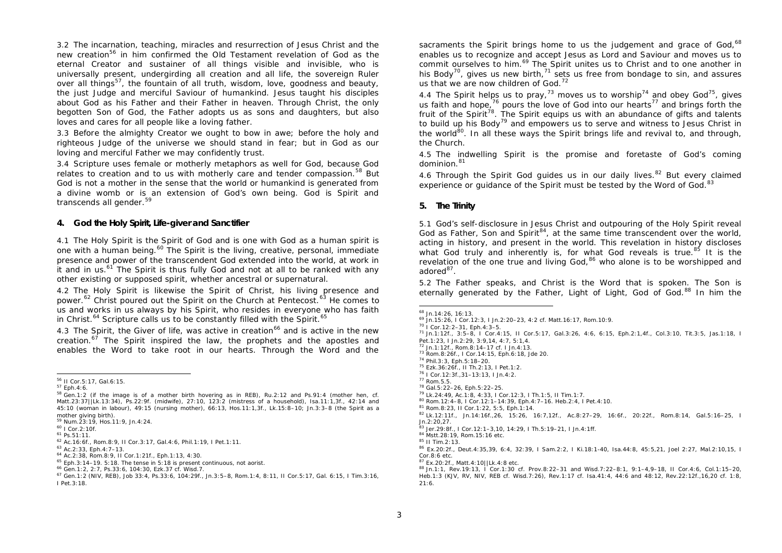3.2 The incarnation, teaching, miracles and resurrection of Jesus Christ and the new creation<sup>56</sup> in him confirmed the Old Testament revelation of God as the eternal Creator and sustainer of all things visible and invisible, who is universally present, undergirding all creation and all life, the sovereign Ruler over all things<sup>57</sup>, the fountain of all truth, wisdom, love, goodness and beauty, the just Judge and merciful Saviour of humankind. Jesus taught his disciples about God as his Father and their Father in heaven. Through Christ, the only begotten Son of God, the Father adopts us as sons and daughters, but also loves and cares for all people like a loving father.

3.3 Before the almighty Creator we ought to bow in awe; before the holy and righteous Judge of the universe we should stand in fear; but in God as our loving and merciful Father we may confidently trust.

3.4 Scripture uses female or motherly metaphors as well for God, because God relates to creation and to us with motherly care and tender compassion.<sup>58</sup> But God is not a mother in the sense that the world or humankind is generated from a divine womb or is an extension of God's own being. God is Spirit and transcends all gender.<sup>59</sup>

### **4. God the Holy Spirit, Life-giver and Sanctifier**

4.1 The Holy Spirit is the Spirit of God and is one with God as a human spirit is one with a human being.<sup>60</sup> The Spirit is the living, creative, personal, immediate presence and power of the transcendent God extended into the world, at work in it and in us.<sup>61</sup> The Spirit is thus fully God and not at all to be ranked with any other existing or supposed spirit, whether ancestral or supernatural.

4.2 The Holy Spirit is likewise the Spirit of Christ, his living presence and power.<sup>62</sup> Christ poured out the Spirit on the Church at Pentecost.<sup>63</sup> He comes to us and works in us always by his Spirit, who resides in everyone who has faith in Christ. $^{64}$  Scripture calls us to be constantly filled with the Spirit. $^{65}$ 

4.3 The Spirit, the Giver of life, was active in creation<sup>66</sup> and is active in the new creation. $67$  The Spirit inspired the law, the prophets and the apostles and enables the Word to take root in our hearts. Through the Word and the sacraments the Spirit brings home to us the judgement and grace of God, $^{68}$ enables us to recognize and accept Jesus as Lord and Saviour and moves us to commit ourselves to him.<sup>69</sup> The Spirit unites us to Christ and to one another in his Body<sup>70</sup>, gives us new birth,<sup>71</sup> sets us free from bondage to sin, and assures us that we are now children of God. $72$ 

4.4 The Spirit helps us to pray,<sup>73</sup> moves us to worship<sup>74</sup> and obey God<sup>75</sup>, gives us faith and hope.<sup>76</sup> pours the love of God into our hearts<sup>77</sup> and brings forth the fruit of the Spirit<sup>78</sup>. The Spirit equips us with an abundance of gifts and talents to build up his Body<sup>79</sup> and empowers us to serve and witness to Jesus Christ in the world $80$ . In all these ways the Spirit brings life and revival to, and through, the Church.

4.5 The indwelling Spirit is the promise and foretaste of God's coming dominion.<sup>81</sup>

4.6 Through the Spirit God guides us in our daily lives.<sup>82</sup> But every claimed experience or guidance of the Spirit must be tested by the Word of God.<sup>83</sup>

### **5. The Trinity**

5.1 God's self-disclosure in Jesus Christ and outpouring of the Holy Spirit reveal God as Father, Son and Spirit<sup>84</sup>, at the same time transcendent over the world, acting in history, and present in the world. This revelation in history discloses what God truly and inherently is, for what God reveals is true.<sup>85</sup> It is the revelation of the one true and living God, <sup>86</sup> who alone is to be worshipped and adored<sup>87</sup>.

5.2 The Father speaks, and Christ is the Word that is spoken. The Son is eternally generated by the Father, Light of Light, God of God.<sup>88</sup> In him the

<sup>70</sup> I Cor.12:2–31, Eph.4:3–5. <sup>71</sup> Jn.1:12f., 3:5–8, I Cor.4:15, II Cor.5:17, Gal.3:26, 4:6, 6:15, Eph.2:1,4f., Col.3:10, Tit.3:5, Jas.1:18, I

<sup>74</sup> Phil.3:3, Eph.5:18–20.

 <sup>56</sup> II Cor.5:17, Gal.6:15.

<sup>57</sup> Eph.4:6.

 $58$  Gen.1:2 (if the image is of a mother birth hovering as in REB), Ru.2:12 and Ps.91:4 (mother hen, cf. Matt.23:37||Lk.13:34), Ps.22:9f. (midwife), 27:10, 123:2 (mistress of a household), Isa.11:1,3f., 42:14 and 45:10 (woman in labour), 49:15 (nursing mother), 66:13, Hos.11:1,3f., Lk.15:8–10; Jn.3:3–8 (the Spirit as a mother giving birth).

<sup>59</sup> Num.23:19, Hos.11:9, Jn.4:24.

<sup>60</sup> I Cor.2:10f.

<sup>61</sup> Ps.51:11.

<sup>62</sup> Ac.16:6f., Rom.8:9, II Cor.3:17, Gal.4:6, Phil.1:19, I Pet.1:11.

<sup>63</sup> Ac.2:33, Eph.4:7–13.

<sup>64</sup> Ac.2:38, Rom.8:9, II Cor.1:21f., Eph.1:13, 4:30.

<sup>65</sup> Eph.3:14–19. 5:18. The tense in 5:18 is present continuous, not aorist.

<sup>66</sup> Gen.1:2, 2:7, Ps.33:6, 104:30, Ezk.37 cf. Wisd.7.

<sup>67</sup> Gen.1:2 (NIV, REB), Job 33:4, Ps.33:6, 104:29f., Jn.3:5–8, Rom.1:4, 8:11, II Cor.5:17, Gal. 6:15, I Tim.3:16, I Pet.3:18.

 <sup>68</sup> Jn.14:26, 16:13.

<sup>69</sup> Jn.15:26, I Cor.12:3, I Jn.2:20–23, 4:2 cf. Matt.16:17, Rom.10:9.

Pet.1:23, I Jn.2:29, 3:9,14, 4:7, 5:1,4. <sup>72</sup> Jn.1:12f., Rom.8:14–17 cf. I Jn.4:13.

<sup>73</sup> Rom.8:26f., I Cor.14:15, Eph.6:18, Jde 20.

<sup>75</sup> Ezk.36:26f., II Th.2:13, I Pet.1:2.

<sup>76</sup> I Cor.12:3f.,31–13:13, I Jn.4:2. <sup>77</sup> Rom.5.5.

<sup>78</sup> Gal.5:22–26, Eph.5:22–25.

<sup>79</sup> Lk.24:49, Ac.1:8, 4:33, I Cor.12:3, I Th.1:5, II Tim.1:7. <sup>80</sup> Rom.12:4–8, I Cor.12:1–14:39, Eph.4:7–16. Heb.2:4, I Pet.4:10.

<sup>81</sup> Rom.8:23, II Cor.1:22, 5:5, Eph.1:14.

<sup>82</sup> Lk.12:11f., Jn.14:16f.,26, 15:26, 16:7,12f., Ac.8:27–29, 16:6f., 20:22f., Rom.8:14, Gal.5:16–25, I  $In.2:20.27$ 

<sup>83</sup> Jer.29:8f., I Cor.12:1–3,10, 14:29, I Th.5:19–21, I Jn.4:1ff. <sup>84</sup> Mstt.28:19, Rom.15:16 etc.

<sup>85</sup> II Tim.2:13.

<sup>86</sup> Ex.20:2f., Deut.4:35,39, 6:4, 32:39, I Sam.2:2, I Ki.18:1-40, Isa.44:8, 45:5,21, Joel 2:27, Mal.2:10,15, I Cor.8:6 etc.

<sup>87</sup> Ex.20:2f., Matt.4:10||Lk.4:8 etc.

<sup>88</sup> Jn.1:1, Rev.19:13, I Cor.1:30 cf. Prov.8:22–31 and Wisd.7:22–8:1, 9:1–4,9–18, II Cor.4:6, Col.1:15–20, Heb.1:3 (KJV, RV, NIV, REB cf. Wisd.7:26), Rev.1:17 cf. Isa.41:4, 44:6 and 48:12, Rev.22:12f.,16,20 cf. 1:8, 21:6.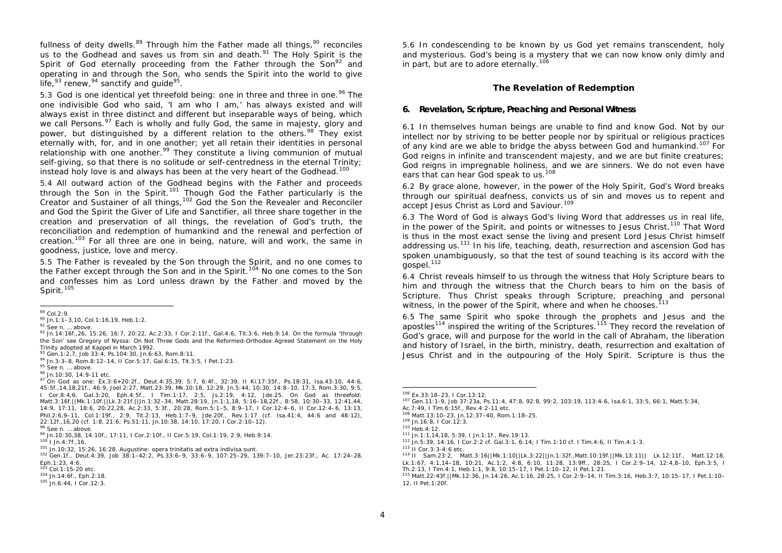fullness of deity dwells.<sup>89</sup> Through him the Father made all things,<sup>90</sup> reconciles us to the Godhead and saves us from sin and death. $91$  The Holy Spirit is the Spirit of God eternally proceeding from the Father through the  $\text{Son}^{\text{92}}$  and operating in and through the Son, who sends the Spirit into the world to give life,<sup>93</sup> renew,<sup>94</sup> sanctify and guide<sup>95</sup>.

5.3 God is one identical yet threefold being: one in three and three in one.<sup>96</sup> The one indivisible God who said, 'I am who I am,' has always existed and will always exist in three distinct and different but inseparable ways of being, which we call Persons. $97$  Each is wholly and fully God, the same in majesty, glory and power*,* but distinguished by a different relation to the others*.* <sup>98</sup> They exist eternally with, for, and in one another; yet all retain their identities in personal relationship with one another.<sup>99</sup> They constitute a living communion of mutual self-giving, so that there is no solitude or self-centredness in the eternal Trinity; instead holy love is and always has been at the very heart of the Godhead.<sup>100</sup>

5.4 All outward action of the Godhead begins with the Father and proceeds through the Son in the Spirit.<sup>101</sup> Though God the Father particularly is the Creator and Sustainer of all things,  $102$  God the Son the Revealer and Reconciler and God the Spirit the Giver of Life and Sanctifier, all three share together in the creation and preservation of all things, the revelation of God's truth, the reconciliation and redemption of humankind and the renewal and perfection of creation.<sup>103</sup> For all three are one in being, nature, will and work, the same in goodness, justice, love and mercy.

5.5 The Father is revealed by the Son through the Spirit, and no one comes to the Father except through the Son and in the Spirit.<sup>104</sup> No one comes to the Son and confesses him as Lord unless drawn by the Father and moved by the Spirit.<sup>105</sup>

5.6 In condescending to be known by us God yet remains transcendent, holy and mysterious. God's being is a mystery that we can now know only dimly and in part, but are to adore eternally.<sup>106</sup>

### **The Revelation of Redemption**

#### **6. Revelation, Scripture, Preaching and Personal Witness**

6.1 In themselves human beings are unable to find and know God. Not by our intellect nor by striving to be better people nor by spiritual or religious practices of any kind are we able to bridge the abyss between God and humankind.<sup>107</sup> For God reigns in infinite and transcendent majesty, and we are but finite creatures; God reigns in impregnable holiness, and we are sinners. We do not even have ears that can hear God speak to us.<sup>108</sup>

6.2 By grace alone, however, in the power of the Holy Spirit, God's Word breaks through our spiritual deafness, convicts us of sin and moves us to repent and accept Jesus Christ as Lord and Saviour.<sup>109</sup>

6.3 The Word of God is always God's living Word that addresses us in real life, in the power of the Spirit, and points or witnesses to Jesus Christ.<sup>110</sup> That Word is thus in the most exact sense the living and present Lord Jesus Christ himself addressing us.<sup>111</sup> In his life, teaching, death, resurrection and ascension God has spoken unambiguously, so that the test of sound teaching is its accord with the gospel.<sup>112</sup>

6.4 Christ reveals himself to us through the witness that Holy Scripture bears to him and through the witness that the Church bears to him on the basis of Scripture. Thus Christ speaks through Scripture, preaching and personal witness, in the power of the Spirit, where and when he chooses.<sup>113</sup>

6.5 The same Spirit who spoke through the prophets and Jesus and the apostles<sup>114</sup> inspired the writing of the Scriptures.<sup>115</sup> They record the revelation of God's grace, will and purpose for the world in the call of Abraham, the liberation and history of Israel, in the birth, ministry, death, resurrection and exaltation of Jesus Christ and in the outpouring of the Holy Spirit. Scripture is thus the

 $89$  Col. 2:9.

<sup>90</sup> Jn.1:1–3,10, Col.1:16,19, Heb.1:2.

<sup>91</sup> See n. ... above.

<sup>92</sup> Jn.14:16f.,26, 15:26, 16:7, 20:22, Ac.2:33, I Cor.2:11f., Gal.4:6, Tit.3:6, Heb.9:14. On the formula 'through the Son' see Gregory of Nyssa: *On Not Three Gods* and the Reformed-Orthodox Agreed Statement on the Holy Trinity adopted at Kappel in March 1992.

<sup>93</sup> Gen.1:2, 7, Job 33:4, Ps.104:30, Jn.6:63, Rom.8:11.

<sup>94</sup> Jn.3:3–8, Rom.8:12–14, II Cor.5:17, Gal.6:15, Tit.3:5, I Pet.1:23.

<sup>95</sup> See n. ... above.

<sup>96</sup> Jn.10:30, 14:9-11 etc.

<sup>97</sup> On God as one: Ex.3:6+20:2f., Deut.4:35,39, 5:7, 6:4f., 32:39, II Ki.17:35f., Ps.18:31, Isa.43:10, 44:6, 45:5f.,14,18,21f., 46:9, Joel 2:27, Matt.23:39, Mk.10:18, 12:29, Jn.5:44, 10:30, 14:8–10, 17:3, Rom.3:30, 9:5, I Cor.8:4,6, Gal.3:20, Eph.4:5f., I Tim.1:17, 2:5, Js.2:19, 4:12, Jde.25. On God as threefold: Matt.3:16f.||Mk.1:10f.||Lk.3:21f.||Jn.1:32–34, Matt.28:19, Jn.1:1,18, 5:16–18,22f., 8:58, 10:30–33, 12:41,44, 14:9, 17:11, 18:6, 20:22,28, Ac.2:33, 5:3f., 20:28, Rom.5:1–5, 8:9–17, I Cor.12:4–6, II Cor.12:4–6, 13:13, Phil.2:6,9–11, Col.1:19f., 2:9, Tit.2:13, Heb.1:7–9, Jde.20f., Rev.1:17 (cf. Isa.41:4, 44:6 and 48:12), 22:12f.,16,20 (cf. 1:8, 21:6; Ps.51:11, Jn.10:38, 14:10, 17:20, I Cor.2:10–12).

<sup>98</sup> See n. ... above.

<sup>99</sup> Jn.10:30,38, 14:10f., 17:11, I Cor.2:10f., II Cor.5:19, Col.1:19, 2:9, Heb.9:14.

<sup>100</sup> I Jn.4:7f.,16.

<sup>101</sup> Jn.10:32, 15:26, 16:28. Augustine: *opera trinitatis ad extra indivisa sunt.*

<sup>102</sup> Gen.1f., Deut.4:39, Job 38:1–42:2, Ps.33:6–9, 33:6–9, 107:25–29, 139:7–10, Jer.23:23f., Ac. 17:24–28, Eph.1:23, 4:6.

<sup>103</sup> Col.1:15-20 etc.

<sup>104</sup> Jn.14:6f., Eph.2:18.

<sup>105</sup> Jn.6:44, I Cor.12:3.

 <sup>106</sup> Ex.33:18–23, I Cor.13:12.

<sup>107</sup> Gen.11:1-9, Job 37:23a, Ps.11:4, 47:8, 92:8, 99:2, 103:19, 113:4-6, Isa.6:1, 33:5, 66:1, Matt.5:34,

Ac.7:49, I Tim.6:15f., Rev.4:2-11 etc.

<sup>108</sup> Matt.13:10–23, Jn.12:37–40, Rom.1:18–25.

<sup>109</sup> Jn.16:8, I Cor.12:3.

<sup>110</sup> Heb.4:12.

<sup>111</sup> Jn.1:1,14,18, 5:39, I Jn.1:1f., Rev.19:13.

<sup>112</sup> Jn.5:39, 14:16, I Cor.2:2 cf. Gal.3:1, 6:14; I Tim.1:10 cf. I Tim.4:6, II Tim.4:1-3.

<sup>113</sup> II Cor.3:3-4:6 etc.

<sup>114</sup> II Sam.23:2, Matt.3:16||Mk.1:10||Lk.3:22||Jn.1:32f.,Matt.10:19f.||Mk.13:11|| Lk.12:11f., Matt.12:18, Lk.1:67, 4:1,14–18, 10:21, Ac.1:2, 4:8, 6:10, 11:28, 13:9ff., 28:25, I Cor.2:9–14, 12:4,8–10, Eph.3:5, I Th.2:13, I Tim.4:1, Heb.1:1, 9:8, 10:15–17, I Pet.1:10–12, II Pet.1:21.

<sup>115</sup> Matt.22:43f.||Mk.12:36, Jn.14:26, Ac.1:16, 28:25, I Cor.2:9–14, II Tim.3:16, Heb.3:7, 10:15–17, I Pet.1:10– 12, II Pet.1:20f.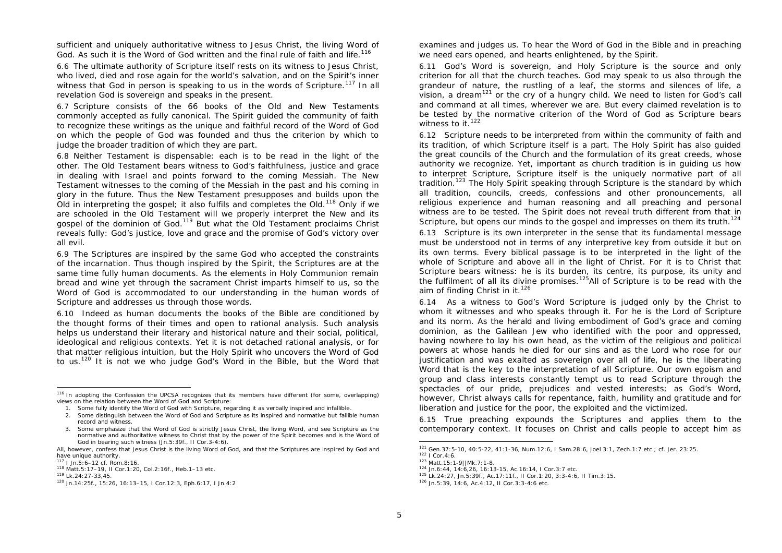sufficient and uniquely authoritative witness to Jesus Christ, the living Word of God. As such it is the Word of God written and the final rule of faith and life.<sup>116</sup>

6.6 The ultimate authority of Scripture itself rests on its witness to Jesus Christ, who lived, died and rose again for the world's salvation, and on the Spirit's inner witness that God in person is speaking to us in the words of Scripture.<sup>117</sup> In all revelation God is sovereign and speaks in the present.

6.7 Scripture consists of the 66 books of the Old and New Testaments commonly accepted as fully canonical. The Spirit guided the community of faith to recognize these writings as the unique and faithful record of the Word of God on which the people of God was founded and thus the criterion by which to judge the broader tradition of which they are part.

6.8 Neither Testament is dispensable: each is to be read in the light of the other. The Old Testament bears witness to God's faithfulness, justice and grace in dealing with Israel and points forward to the coming Messiah. The New Testament witnesses to the coming of the Messiah in the past and his coming in glory in the future. Thus the New Testament presupposes and builds upon the Old in interpreting the gospel; it also fulfils and completes the Old.<sup>118</sup> Only if we are schooled in the Old Testament will we properly interpret the New and its gospel of the dominion of God.<sup>119</sup> But what the Old Testament proclaims Christ reveals fully: God's justice, love and grace and the promise of God's victory over all evil.

6.9 The Scriptures are inspired by the same God who accepted the constraints of the incarnation. Thus though inspired by the Spirit, the Scriptures are at the same time fully human documents. As the elements in Holy Communion remain bread and wine yet through the sacrament Christ imparts himself to us, so the Word of God is accommodated to our understanding in the human words of Scripture and addresses us through those words.

6.10 Indeed as human documents the books of the Bible are conditioned by the thought forms of their times and open to rational analysis. Such analysis helps us understand their literary and historical nature and their social, political, ideological and religious contexts. Yet it is not detached rational analysis, or for that matter religious intuition, but the Holy Spirit who uncovers the Word of God to us.<sup>120</sup> It is not we who judge God's Word in the Bible, but the Word that examines and judges us. To hear the Word of God in the Bible and in preaching we need ears opened, and hearts enlightened, by the Spirit.

6.11 God's Word is sovereign, and Holy Scripture is the source and only criterion for all that the church teaches. God may speak to us also through the grandeur of nature, the rustling of a leaf, the storms and silences of life, a vision, a dream<sup>121</sup> or the cry of a hungry child. We need to listen for God's call and command at all times, wherever we are. But every claimed revelation is to be tested by the normative criterion of the Word of God as Scripture bears witness to it.<sup>122</sup>

6.12 Scripture needs to be interpreted from within the community of faith and its tradition, of which Scripture itself is a part. The Holy Spirit has also guided the great councils of the Church and the formulation of its great creeds, whose authority we recognize. Yet, important as church tradition is in guiding us how to interpret Scripture, Scripture itself is the uniquely normative part of all tradition.<sup>123</sup> The Holy Spirit speaking through Scripture is the standard by which all tradition, councils, creeds, confessions and other pronouncements, all religious experience and human reasoning and all preaching and personal witness are to be tested. The Spirit does not reveal truth different from that in Scripture, but opens our minds to the gospel and impresses on them its truth.<sup>124</sup>

6.13 Scripture is its own interpreter in the sense that its fundamental message must be understood not in terms of any interpretive key from outside it but on its own terms. Every biblical passage is to be interpreted in the light of the whole of Scripture and above all in the light of Christ. For it is to Christ that Scripture bears witness: he is its burden, its centre, its purpose, its unity and the fulfilment of all its divine promises.<sup>125</sup>All of Scripture is to be read with the aim of finding Christ in it.<sup>126</sup>

6.14 As a witness to God's Word Scripture is judged only by the Christ to whom it witnesses and who speaks through it. For he is the Lord of Scripture and its norm. As the herald and living embodiment of God's grace and coming dominion, as the Galilean Jew who identified with the poor and oppressed, having nowhere to lay his own head, as the victim of the religious and political powers at whose hands he died for our sins and as the Lord who rose for our justification and was exalted as sovereign over all of life, he is the liberating Word that is the key to the interpretation of all Scripture. Our own egoism and group and class interests constantly tempt us to read Scripture through the spectacles of our pride, prejudices and vested interests; as God's Word, however, Christ always calls for repentance, faith, humility and gratitude and for liberation and justice for the poor, the exploited and the victimized.

6.15 True preaching expounds the Scriptures and applies them to the contemporary context. It focuses on Christ and calls people to accept him as

<sup>116</sup> In adopting the Confession the UPCSA recognizes that its members have different (for some, overlapping) views on the relation between the Word of God and Scripture:

<sup>1.</sup> Some fully identify the Word of God with Scripture, regarding it as verbally inspired and infallible.

<sup>2.</sup> Some distinguish between the Word of God and Scripture as its inspired and normative but fallible human record and witness.

<sup>3.</sup> Some emphasize that the Word of God is strictly Jesus Christ, the living Word, and see Scripture as the normative and authoritative witness to Christ that by the power of the Spirit becomes and is the Word of God in bearing such witness (Jn.5:39f., II Cor.3-4:6).

All, however, confess that Jesus Christ is the living Word of God, and that the Scriptures are inspired by God and have unique authority.

<sup>117</sup> I Jn.5:6–12 cf. Rom.8:16.

<sup>118</sup> Matt.5:17–19, II Cor.1:20, Col.2:16f., Heb.1–13 etc.

<sup>119</sup> Lk.24:27-33,45.

<sup>120</sup> Jn.14:25f., 15:26, 16:13–15, I Cor.12:3, Eph.6:17, I Jn.4:2

 <sup>121</sup> Gen.37:5-10, 40:5-22, 41:1-36, Num.12:6, I Sam.28:6, Joel 3:1, Zech.1:7 etc.; cf. Jer. 23:25.

<sup>122</sup> I Cor.4:6.

<sup>123</sup> Matt.15:1-9||Mk.7:1-8.

<sup>124</sup> Jn.6:44, 14:6,26, 16:13-15, Ac.16:14, I Cor.3:7 etc.

<sup>125</sup> Lk.24:27, Jn.5:39f., Ac.17:11f., II Cor.1:20, 3:3-4:6, II Tim.3:15.

<sup>126</sup> Jn.5:39, 14:6, Ac.4:12, II Cor.3:3-4:6 etc.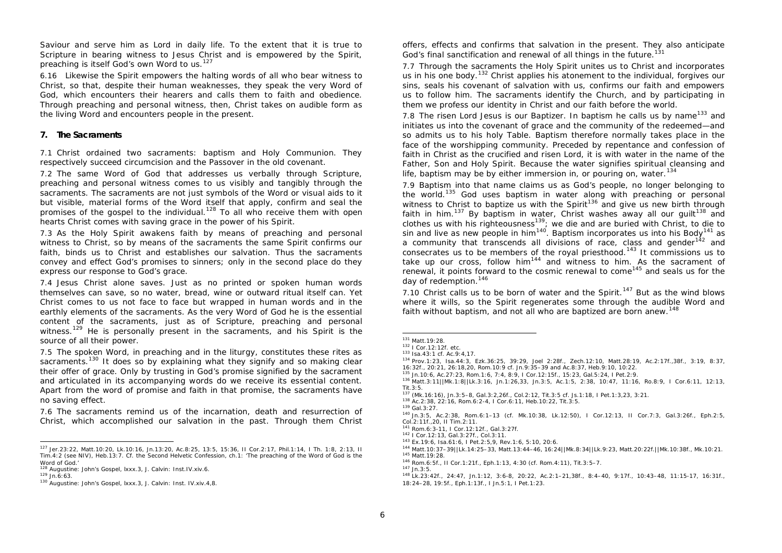Saviour and serve him as Lord in daily life. To the extent that it is true to Scripture in bearing witness to Jesus Christ and is empowered by the Spirit, preaching is itself God's own Word to us.<sup>127</sup>

6.16 Likewise the Spirit empowers the halting words of all who bear witness to Christ, so that, despite their human weaknesses, they speak the very Word of God, which encounters their hearers and calls them to faith and obedience. Through preaching and personal witness, then, Christ takes on audible form as the living Word and encounters people in the present.

### **7. The Sacraments**

7.1 Christ ordained two sacraments: baptism and Holy Communion. They respectively succeed circumcision and the Passover in the old covenant.

7.2 The same Word of God that addresses us verbally through Scripture, preaching and personal witness comes to us visibly and tangibly through the sacraments. The sacraments are not just symbols of the Word or visual aids to it but visible, material forms of the Word itself that apply, confirm and seal the promises of the gospel to the individual.<sup>128</sup> To all who receive them with open hearts Christ comes with saving grace in the power of his Spirit.

7.3 As the Holy Spirit awakens faith by means of preaching and personal witness to Christ, so by means of the sacraments the same Spirit confirms our faith, binds us to Christ and establishes our salvation. Thus the sacraments convey and effect God's promises to sinners; only in the second place do they express our response to God's grace.

7.4 Jesus Christ alone saves. Just as no printed or spoken human words themselves can save, so no water, bread, wine or outward ritual itself can. Yet Christ comes to us not face to face but wrapped in human words and in the earthly elements of the sacraments. As the very Word of God he is the essential content of the sacraments, just as of Scripture, preaching and personal witness.<sup>129</sup> He is personally present in the sacraments, and his Spirit is the source of all their power.

7.5 The spoken Word, in preaching and in the liturgy, constitutes these rites as sacraments.<sup>130</sup> It does so by explaining what they signify and so making clear their offer of grace. Only by trusting in God's promise signified by the sacrament and articulated in its accompanying words do we receive its essential content. Apart from the word of promise and faith in that promise, the sacraments have no saving effect.

7.6 The sacraments remind us of the incarnation, death and resurrection of Christ, which accomplished our salvation in the past. Through them Christ offers, effects and confirms that salvation in the present. They also anticipate God's final sanctification and renewal of all things in the future.<sup>131</sup>

7.7 Through the sacraments the Holy Spirit unites us to Christ and incorporates us in his one body.<sup>132</sup> Christ applies his atonement to the individual, forgives our sins, seals his covenant of salvation with us, confirms our faith and empowers us to follow him. The sacraments identify the Church, and by participating in them we profess our identity in Christ and our faith before the world.

7.8 The risen Lord Jesus is our Baptizer. In baptism he calls us by name<sup>133</sup> and initiates us into the covenant of grace and the community of the redeemed—and so admits us to his holy Table. Baptism therefore normally takes place in the face of the worshipping community. Preceded by repentance and confession of faith in Christ as the crucified and risen Lord, it is with water in the name of the Father, Son and Holy Spirit. Because the water signifies spiritual cleansing and life, baptism may be by either immersion in, or pouring on, water.<sup>134</sup>

7.9 Baptism into that name claims us as God's people, no longer belonging to the world.<sup>135</sup> God uses baptism in water along with preaching or personal witness to Christ to baptize us with the Spirit<sup>136</sup> and give us new birth through faith in him.<sup>137</sup> By baptism in water, Christ washes away all our quilt<sup>138</sup> and clothes us with his righteousness<sup>139</sup>; we die and are buried with Christ, to die to sin and live as new people in him<sup>140</sup>. Baptism incorporates us into his Body<sup>141</sup> as a community that transcends all divisions of race, class and gender<sup>142</sup> and consecrates us to be members of the royal priesthood.<sup>143</sup> It commissions us to take up our cross, follow him<sup>144</sup> and witness to him. As the sacrament of renewal, it points forward to the cosmic renewal to come<sup>145</sup> and seals us for the day of redemption.<sup>146</sup>

7.10 Christ calls us to be born of water and the Spirit.<sup>147</sup> But as the wind blows where it wills, so the Spirit regenerates some through the audible Word and faith without baptism, and not all who are baptized are born anew.<sup>148</sup>

<sup>134</sup> Prov.1:23, Isa.44:3, Ezk.36:25, 39:29, Joel 2:28f., Zech.12:10, Matt.28:19, Ac.2:17f.,38f., 3:19, 8:37, 16:32f., 20:21, 26:18,20, Rom.10:9 cf. Jn.9:35–39 and Ac.8:37, Heb.9:10, 10:22.

<sup>143</sup> Ex.19:6, Isa.61:6, I Pet.2:5,9, Rev.1:6, 5:10, 20:6.

<sup>146</sup> Rom.6:5f., II Cor.1:21f., Eph.1:13, 4:30 (cf. Rom.4:11), Tit.3:5–7.

 <sup>127</sup> Jer.23:22, Matt.10:20, Lk.10:16, Jn.13:20, Ac.8:25, 13:5, 15:36, II Cor.2:17, Phil.1:14, I Th. 1:8, 2:13, II Tim.4:2 (see NIV), Heb.13:7. Cf. the Second Helvetic Confession, ch.1: 'The preaching of the Word of God is the Word of God.'

<sup>128</sup> Augustine: *John's Gospel*, lxxx.3, J. Calvin: *Inst.*IV.xiv.6.

 $129$  Jn. 6:63.

<sup>130</sup> Augustine: *John's Gospel,* lxxx.3, J. Calvin: *Inst.* IV.xiv.4,8.

<sup>131</sup> Matt.19:28.

<sup>132</sup> I Cor.12:12f. etc.

<sup>133</sup> Isa.43:1 cf. Ac.9:4,17.

<sup>135</sup> Jn.10:6, Ac.27:23, Rom.1:6, 7:4, 8:9, I Cor.12:15f., 15:23, Gal.5:24, I Pet.2:9.

<sup>136</sup> Matt.3:11||Mk.1:8||Lk.3:16, Jn.1:26,33, Jn.3:5, Ac.1:5, 2:38, 10:47, 11:16, Ro.8:9, I Cor.6:11, 12:13, Tit.3:5.

<sup>137</sup> (Mk.16:16), Jn.3:5–8, Gal.3:2,26f., Col.2:12, Tit.3:5 cf. Js.1:18, I Pet.1:3,23, 3:21.

<sup>138</sup> Ac.2:38, 22:16, Rom.6:2-4, I Cor.6:11, Heb.10:22, Tit.3:5.

<sup>139</sup> Gal.3:27.

<sup>140</sup> Jn.3:5, Ac.2:38, Rom.6:1–13 (cf. Mk.10:38, Lk.12:50), I Cor.12:13, II Cor.7:3, Gal.3:26f., Eph.2:5, Col.2:11f.,20, II Tim.2:11.

<sup>141</sup> Rom.6:3-11, I Cor.12:12f., Gal.3:27f.

<sup>142</sup> I Cor.12:13, Gal.3:27f., Col.3:11.

<sup>144</sup> Matt.10:37–39||Lk.14:25–33, Matt.13:44–46, 16:24||Mk.8:34||Lk.9:23, Matt.20:22f.||Mk.10:38f., Mk.10:21. <sup>145</sup> Matt.19:28.

<sup>147</sup> Jn.3:5.

<sup>148</sup> Lk.23:42f., 24:47, Jn.1:12, 3:6-8, 20:22, Ac.2:1–21,38f., 8:4–40, 9:17f., 10:43–48, 11:15-17, 16:31f., 18:24–28, 19:5f., Eph.1:13f., I Jn.5:1, I Pet.1:23.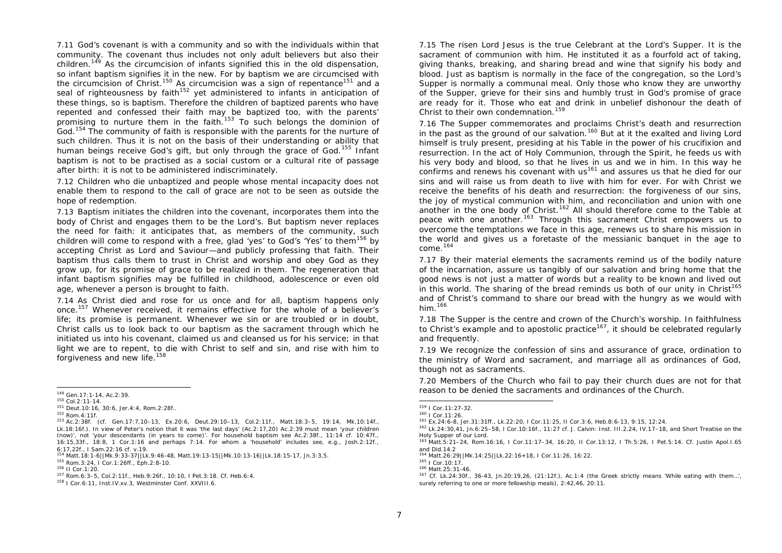7.11 God's covenant is with a community and so with the individuals within that community. The covenant thus includes not only adult believers but also their children.<sup>149</sup> As the circumcision of infants signified this in the old dispensation, so infant baptism signifies it in the new. For by baptism we are circumcised with the circumcision of Christ.<sup>150</sup> As circumcision was a sign of repentance<sup>151</sup> and a seal of righteousness by faith<sup>152</sup> yet administered to infants in anticipation of these things, so is baptism. Therefore the children of baptized parents who have repented and confessed their faith may be baptized too, with the parents' promising to nurture them in the faith.<sup>153</sup> To such belongs the dominion of God.<sup>154</sup> The community of faith is responsible with the parents for the nurture of such children. Thus it is not on the basis of their understanding or ability that human beings receive God's gift, but only through the grace of God.<sup>155</sup> Infant baptism is not to be practised as a social custom or a cultural rite of passage after birth: it is not to be administered indiscriminately.

7.12 Children who die unbaptized and people whose mental incapacity does not enable them to respond to the call of grace are not to be seen as outside the hope of redemption.

7.13 Baptism initiates the children into the covenant, incorporates them into the body of Christ and engages them to be the Lord's. But baptism never replaces the need for faith: it anticipates that, as members of the community, such children will come to respond with a free, glad 'yes' to God's 'Yes' to them<sup>156</sup> by accepting Christ as Lord and Saviour—and publicly professing that faith. Their baptism thus calls them to trust in Christ and worship and obey God as they grow up, for its promise of grace to be realized in them. The regeneration that infant baptism signifies may be fulfilled in childhood, adolescence or even old age, whenever a person is brought to faith.

7.14 As Christ died and rose for us once and for all, baptism happens only once.<sup>157</sup> Whenever received, it remains effective for the whole of a believer's life; its promise is permanent. Whenever we sin or are troubled or in doubt, Christ calls us to look back to our baptism as the sacrament through which he initiated us into his covenant, claimed us and cleansed us for his service; in that light we are to repent, to die with Christ to self and sin, and rise with him to forgiveness and new life.<sup>158</sup>

<sup>157</sup> Rom.6:3–5, Col.2:11f., Heb.9:26f., 10:10, I Pet.3:18. Cf. Heb.6:4.

7.15 The risen Lord Jesus is the true Celebrant at the Lord's Supper. It is the sacrament of communion with him. He instituted it as a fourfold act of taking, giving thanks, breaking, and sharing bread and wine that signify his body and blood. Just as baptism is normally in the face of the congregation, so the Lord's Supper is normally a communal meal. Only those who know they are unworthy of the Supper, grieve for their sins and humbly trust in God's promise of grace are ready for it. Those who eat and drink in unbelief dishonour the death of Christ to their own condemnation.<sup>159</sup>

7.16 The Supper commemorates and proclaims Christ's death and resurrection in the past as the ground of our salvation.<sup>160</sup> But at it the exalted and living Lord himself is truly present, presiding at his Table in the power of his crucifixion and resurrection. In the act of Holy Communion, through the Spirit, he feeds us with his very body and blood, so that he lives in us and we in him. In this way he confirms and renews his covenant with us<sup>161</sup> and assures us that he died for our sins and will raise us from death to live with him for ever. For with Christ we receive the benefits of his death and resurrection: the forgiveness of our sins, the joy of mystical communion with him, and reconciliation and union with one another in the one body of Christ.<sup>162</sup> All should therefore come to the Table at peace with one another.<sup>163</sup> Through this sacrament Christ empowers us to overcome the temptations we face in this age, renews us to share his mission in the world and gives us a foretaste of the messianic banquet in the age to come. 164

7.17 By their material elements the sacraments remind us of the bodily nature of the incarnation, assure us tangibly of our salvation and bring home that the good news is not just a matter of words but a reality to be known and lived out in this world. The sharing of the bread reminds us both of our unity in Christ<sup>165</sup> and of Christ's command to share our bread with the hungry as we would with him.<sup>166</sup>

7.18 The Supper is the centre and crown of the Church's worship. In faithfulness to Christ's example and to apostolic practice<sup>167</sup>, it should be celebrated regularly and frequently.

7.19 We recognize the confession of sins and assurance of grace, ordination to the ministry of Word and sacrament, and marriage all as ordinances of God, though not as sacraments.

7.20 Members of the Church who fail to pay their church dues are not for that reason to be denied the sacraments and ordinances of the Church.

 <sup>149</sup> Gen.17:1-14, Ac.2:39.

<sup>150</sup> Col.2:11-14.

<sup>151</sup> Deut.10:16, 30:6, Jer.4:4, Rom.2:28f..

<sup>152</sup> Rom.4:11f.

<sup>153</sup> Ac.2:38f. (cf. Gen.17:7,10–13, Ex.20:6, Deut.29:10–13, Col.2:11f., Matt.18:3–5, 19:14, Mk.10:14f., Lk.18:16f.). In view of Peter's notion that it was 'the last days' (Ac.2:17,20) Ac.2:39 must mean 'your children (now)', not 'your descendants (in years to come)'. For household baptism see Ac.2:38f., 11:14 cf. 10:47f., 16:15,33f., 18:8, 1 Cor.1:16 and perhaps 7:14. For whom a 'household' includes see, e.g., Josh.2:12f., 6:17,22f., I Sam.22:16 cf. v.19.

<sup>154</sup> Matt.18:1-6||Mk.9:33-37||Lk.9:46-48, Matt.19:13-15||Mk.10:13-16||Lk.18:15-17, Jn.3:3,5.

<sup>155</sup> Rom.3:24, I Cor.1:26ff., Eph.2:8-10.

<sup>156</sup> II Cor.1:20.

<sup>158</sup> I Cor.6:11, *Inst.*IV.xv.3, Westminster Conf. XXVIII.6.

 <sup>159</sup> I Cor.11:27-32.

<sup>160</sup> I Cor.11:26.

<sup>161</sup> Ex.24:6-8, Jer.31:31ff., Lk.22:20, I Cor.11:25, II Cor.3:6, Heb.8:6-13, 9:15, 12:24.

<sup>162</sup> Lk.24:30,41, Jn.6:25–58, I Cor.10:16f., 11:27 cf. J. Calvin: *Inst.* III.2.24, IV.17–18, and *Short Treatise on the Holy Supper of our Lord.*

<sup>163</sup> Matt.5:21–24, Rom.16:16, I Cor.11:17–34, 16:20, II Cor.13:12, I Th.5:26, I Pet.5:14. Cf. Justin *Apol.*I.65 and *Did*.14.2

<sup>164</sup> Matt.26:29||Mk.14:25||Lk.22:16+18, I Cor.11:26, 16:22.

<sup>165</sup> I Cor.10:17.

<sup>166</sup> Matt.25:31-46.

<sup>167</sup> Cf. Lk.24:30f., 36-43, Jn.20:19,26, (21:12f.), Ac.1:4 (the Greek strictly means 'While eating with them…', surely referring to one or more fellowship meals), 2:42,46, 20:11.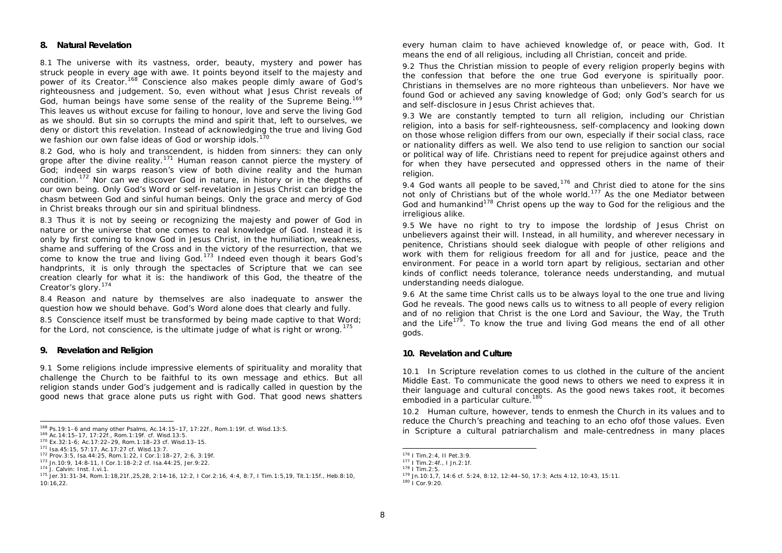#### **8. Natural Revelation**

8.1 The universe with its vastness, order, beauty, mystery and power has struck people in every age with awe. It points beyond itself to the majesty and power of its Creator.<sup>168</sup> Conscience also makes people dimly aware of God's righteousness and judgement. So, even without what Jesus Christ reveals of God, human beings have some sense of the reality of the Supreme Being.<sup>169</sup> This leaves us without excuse for failing to honour, love and serve the living God as we should. But sin so corrupts the mind and spirit that, left to ourselves, we deny or distort this revelation. Instead of acknowledging the true and living God we fashion our own false ideas of God or worship idols.<sup>1</sup>

8.2 God, who is holy and transcendent, is hidden from sinners: they can only grope after the divine reality.<sup>171</sup> Human reason cannot pierce the mystery of God; indeed sin warps reason's view of both divine reality and the human condition.<sup>172</sup> Nor can we discover God in nature, in history or in the depths of our own being. Only God's Word or self-revelation in Jesus Christ can bridge the chasm between God and sinful human beings. Only the grace and mercy of God in Christ breaks through our sin and spiritual blindness.

8.3 Thus it is not by seeing or recognizing the majesty and power of God in nature or the universe that one comes to real knowledge of God. Instead it is only by first coming to know God in Jesus Christ, in the humiliation, weakness, shame and suffering of the Cross and in the victory of the resurrection, that we come to know the true and living God.<sup>173</sup> Indeed even though it bears God's handprints, it is only through the spectacles of Scripture that we can see creation clearly for what it is: the handiwork of this God, the theatre of the Creator's glory.<sup>174</sup>

8.4 Reason and nature by themselves are also inadequate to answer the question how we should behave. God's Word alone does that clearly and fully.

8.5 Conscience itself must be transformed by being made captive to that Word; for the Lord, not conscience, is the ultimate judge of what is right or wrong.<sup>175</sup>

### **9. Revelation and Religion**

9.1 Some religions include impressive elements of spirituality and morality that challenge the Church to be faithful to its own message and ethics. But all religion stands under God's judgement and is radically called in question by the good news that grace alone puts us right with God. That good news shatters

j

every human claim to have achieved knowledge of, or peace with, God. It means the end of all religious, including all Christian, conceit and pride.

9.2 Thus the Christian mission to people of every religion properly begin*s* with the confession that before the one true God everyone is spiritually poor. Christians in themselves are no more righteous than unbelievers. Nor have we found God or achieved any saving knowledge of God; only God's search for us and self-disclosure in Jesus Christ achieves that.

9.3 We are constantly tempted to turn all religion, including our Christian religion, into a basis for self-righteousness*,* self-complacency and looking down on those whose religion differs from our own, especially if their social class, race or nationality differs as well. We also tend to use religion to sanction our social or political way of life. Christians need to repent for prejudice against others and for when they have persecuted and oppressed others in the name of their religion.

9.4 God wants all people to be saved, $176$  and Christ died to atone for the sins not only of Christians but of the whole world.<sup>177</sup> As the one Mediator between God and humankind<sup>178</sup> Christ opens up the way to God for the religious and the irreligious alike.

9.5 We have no right to try to impose the lordship of Jesus Christ on unbelievers against their will. Instead, in all humility, and wherever necessary in penitence, Christians should seek dialogue with people of other religions and work with them for religious freedom for all and for justice, peace and the environment. For peace in a world torn apart by religious, sectarian and other kinds of conflict needs tolerance, tolerance needs understanding, and mutual understanding needs dialogue.

9.6 At the same time Christ calls us to be always loyal to the one true and living God he reveals. The good news calls us to witness to all people of every religion and of no religion that Christ is the one Lord and Saviour, the Way, the Truth and the Life<sup>179</sup>. To know the true and living God means the end of all other gods.

### **10. Revelation and Culture**

10.1 In Scripture revelation comes to us clothed in the culture of the ancient Middle East. To communicate the good news to others we need to express it in their language and cultural concepts. As the good news takes root, it becomes embodied in a particular culture.<sup>180</sup>

10.2 Human culture, however, tends to enmesh the Church in its values and to reduce the Church's preaching and teaching to an echo ofof those values. Even in Scripture a cultural patriarchalism and male-centredness in many places

<sup>168</sup> Ps.19:1–6 and many other Psalms, Ac.14:15–17, 17:22f., Rom.1:19f. cf. Wisd.13:5.

<sup>169</sup> Ac.14:15–17, 17:22f., Rom.1:19f. cf. Wisd.13:5.

<sup>170</sup> Ex.32:1-6; Ac.17:22–29, Rom.1:18–23 cf. Wisd.13–15.

<sup>171</sup> Isa.45:15, 57:17, Ac.17:27 cf. Wisd.13:7.

<sup>172</sup> Prov.3:5, Isa.44:25, Rom.1:22, I Cor.1:18–27, 2:6, 3:19f. <sup>173</sup> Jn.10:9, 14:8-11, I Cor.1:18-2:2 cf. Isa.44:25, Jer.9:22.

<sup>174</sup> J. Calvin: *Inst.* I.vi.1.

<sup>175</sup> Jer.31:31-34, Rom.1:18,21f.,25,28, 2:14-16, 12:2, I Cor.2:16, 4:4, 8:7, I Tim.1:5,19, Tit.1:15f., Heb.8:10, 10:16,22.

 <sup>176</sup> I Tim.2:4, II Pet.3:9.

<sup>177</sup> I Tim.2:4f., I Jn.2:1f.

<sup>178</sup> I Tim.2:5.

<sup>179</sup> Jn.10:1,7, 14:6 cf. 5:24, 8:12, 12:44–50, 17:3; Acts 4:12, 10:43, 15:11.

<sup>180</sup> I Cor.9:20.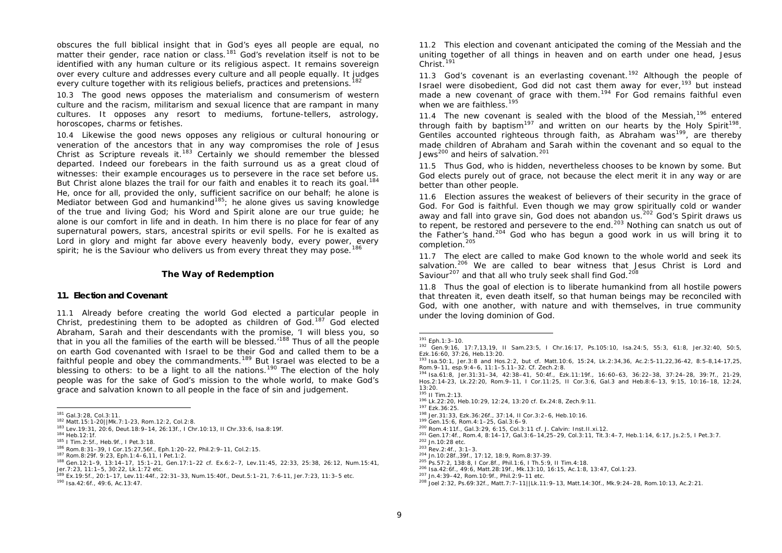obscures the full biblical insight that in God's eyes all people are equal, no matter their gender, race nation or class.<sup>181</sup> God's revelation itself is not to be identified with any human culture or its religious aspect. It remains sovereign over every culture and addresses every culture and all people equally*.* It judges every culture together with its religious beliefs, practices and pretensions.<sup>182</sup>

10.3 The good news opposes the materialism and consumerism of western culture and the racism, militarism and sexual licence that are rampant in many cultures. It opposes any resort to mediums, fortune-tellers, astrology, horoscopes, charms or fetishes.

10.4 Likewise the good news opposes any religious or cultural honouring or veneration of the ancestors that in any way compromises the role of Jesus Christ as Scripture reveals it.<sup>183</sup> Certainly we should remember the blessed departed. Indeed our forebears in the faith surround us as a great cloud of witnesses: their example encourages us to persevere in the race set before us. But Christ alone blazes the trail for our faith and enables it to reach its goal.<sup>184</sup> He, once for all, provided the only, sufficient sacrifice on our behalf; he alone is Mediator between God and humankind<sup>185</sup>; he alone gives us saving knowledge of the true and living God; his Word and Spirit alone are our true guide; he alone is our comfort in life and in death. In him there is no place for fear of any supernatural powers, stars, ancestral spirits or evil spells. For he is exalted as Lord in glory and might far above every heavenly body, every power, every spirit; he is the Saviour who delivers us from every threat they may pose.<sup>186</sup>

#### **The Way of Redemption**

### **11. Election and Covenant**

11.1 Already before creating the world God elected a particular people in Christ, predestining them to be adopted as children of God.<sup>187</sup> God elected Abraham, Sarah and their descendants with the promise, 'I will bless you, so that in you all the families of the earth will be blessed.<sup>188</sup> Thus of all the people on earth God covenanted with Israel to be their God and called them to be a faithful people and obey the commandments.<sup>189</sup> But Israel was elected to be a blessing to others: to be a light to all the nations.<sup>190</sup> The election of the holy people was for the sake of God's mission to the whole world, to make God's grace and salvation known to all people in the face of sin and judgement.

11.2 This election and covenant anticipated the coming of the Messiah and the uniting together of all things in heaven and on earth under one head, Jesus Christ.<sup>191</sup>

11.3 God's covenant is an everlasting covenant.<sup>192</sup> Although the people of Israel were disobedient, God did not cast them away for ever,<sup>193</sup> but instead made a new covenant of grace with them.<sup>194</sup> For God remains faithful even when we are faithless 195

11.4 The new covenant is sealed with the blood of the Messiah,  $196$  entered through faith by baptism<sup>197</sup> and written on our hearts by the Holy Spirit<sup>198</sup>. Gentiles accounted righteous through faith, as Abraham was<sup>199</sup>, are thereby made children of Abraham and Sarah within the covenant and so equal to the Jews<sup>200</sup> and heirs of salvation.<sup>201</sup>

11.5 Thus God, who is hidden, nevertheless chooses to be known by some. But God elects purely out of grace, not because the elect merit it in any way or are better than other people.

11.6 Election assures the weakest of believers of their security in the grace of God. For God is faithful. Even though we may grow spiritually cold or wander away and fall into grave sin, God does not abandon us.<sup>202</sup> God's Spirit draws us to repent, be restored and persevere to the end.<sup>203</sup> Nothing can snatch us out of the Father's hand.<sup>204</sup> God who has begun a good work in us will bring it to completion.<sup>205</sup>

11.7 The elect are called to make God known to the whole world and seek its salvation.<sup>206</sup> We are called to bear witness that Jesus Christ is Lord and Saviour<sup>207</sup> and that all who truly seek shall find God.<sup>208</sup>

11.8 Thus the goal of election is to liberate humankind from all hostile powers that threaten it, even death itself, so that human beings may be reconciled with God, with one another, with nature and with themselves, in true community under the loving dominion of God.

j

 <sup>181</sup> Gal.3:28, Col.3:11.

<sup>182</sup> Matt.15:1-20||Mk.7:1-23, Rom.12:2, Col.2:8.

<sup>183</sup> Lev.19:31, 20:6, Deut.18:9–14, 26:13f., I Chr.10:13, II Chr.33:6, Isa.8:19f. <sup>184</sup> Heb.12:1f.

<sup>185</sup> I Tim.2:5f., Heb.9f., I Pet.3:18.

<sup>186</sup> Rom.8:31–39, I Cor.15:27,56f., Eph.1:20–22, Phil.2:9–11, Col.2:15.

<sup>187</sup> Rom.8:29f. 9:23, Eph.1:4–6,11, I Pet.1:2.

<sup>188</sup> Gen.12:1–9, 13:14–17, 15:1–21, Gen.17:1–22 cf. Ex.6:2–7, Lev.11:45, 22:33, 25:38, 26:12, Num.15:41, Jer.7:23, 11:1–5, 30:22, Lk.1:72 etc.

<sup>189</sup> Ex.19:5f., 20:1–17, Lev.11:44f., 22:31–33, Num.15:40f., Deut.5:1–21, 7:6-11, Jer.7:23, 11:3–5 etc.

<sup>190</sup> Isa.42:6f., 49:6, Ac.13:47.

<sup>191</sup> Eph.1:3–10.

<sup>192</sup> Gen.9:16, 17:7,13,19, II Sam.23:5, I Chr.16:17, Ps.105:10, Isa.24:5, 55:3, 61:8, Jer.32:40, 50:5, Ezk.16:60, 37:26, Heb.13:20.

<sup>193</sup> Isa.50:1, Jer.3:8 and Hos.2:2, but cf. Matt.10:6, 15:24, Lk.2:34,36, Ac.2:5-11,22,36-42, 8:5-8,14-17,25, Rom.9–11, esp.9:4–6, 11:1–5.11–32. Cf. Zech.2:8.

<sup>194</sup> Isa.61:8, Jer.31:31–34, 42:38–41, 50:4f., Ezk.11:19f., 16:60–63, 36:22–38, 37:24–28, 39:7f., 21-29, Hos.2:14-23, Lk.22:20, Rom.9–11, I Cor.11:25, II Cor.3:6, Gal.3 and Heb.8:6–13, 9:15, 10:16–18, 12:24, 13:20. <sup>195</sup> II Tim.2:13.

<sup>196</sup> Lk.22:20, Heb.10:29, 12:24, 13:20 cf. Ex.24:8, Zech.9:11.

<sup>197</sup> Ezk.36:25.

<sup>198</sup> Jer.31:33, Ezk.36:26f., 37:14, II Cor.3:2–6, Heb.10:16.

<sup>199</sup> Gen.15:6, Rom.4:1–25, Gal.3:6–9.

<sup>200</sup> Rom.4:11f., Gal.3:29, 6:15, Col.3:11 cf. J. Calvin: *Inst.*II.xi.12.

<sup>201</sup> Gen.17:4f., Rom.4, 8:14–17, Gal.3:6–14,25–29, Col.3:11, Tit.3:4–7, Heb.1:14, 6:17, Js.2:5, I Pet.3:7.

<sup>202</sup> Jn.10:28 etc.

<sup>203</sup> Rev.2:4f., 3:1–3.

<sup>204</sup> Jn.10:28f.,39f., 17:12, 18:9, Rom.8:37-39.

<sup>205</sup> Ps.57:2, 138:8, I Cor.8f., Phil.1:6, I Th.5:9, II Tim.4:18.

<sup>206</sup> Isa.42:6f., 49:6, Matt.28:19f., Mk.13:10, 16:15, Ac.1:8, 13:47, Col.1:23.

<sup>207</sup> Jn.4:39–42, Rom.10:9f., Phil.2:9–11 etc.

<sup>208</sup> Joel 2:32, Ps.69:32f., Matt.7:7–11||Lk.11:9–13, Matt.14:30f., Mk.9:24–28, Rom.10:13, Ac.2:21.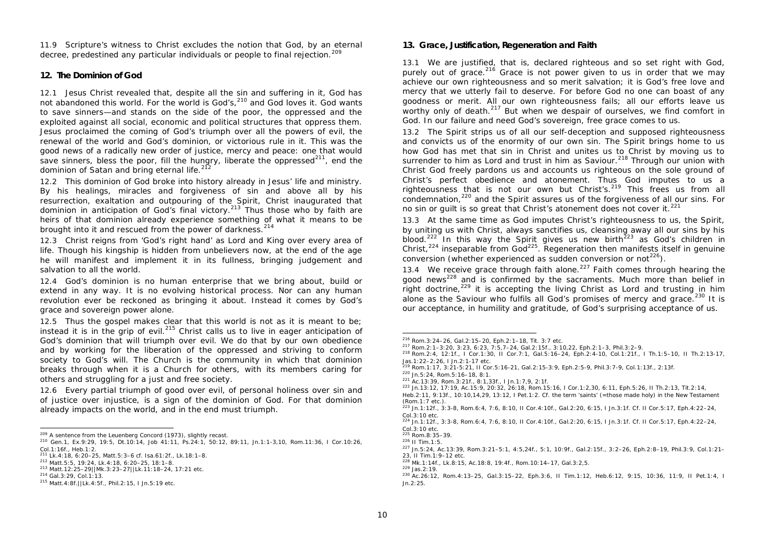11.9 Scripture's witness to Christ excludes the notion that God, by an eternal decree, predestined any particular individuals or people to final rejection.<sup>209</sup>

# **12. The Dominion of God**

12.1 Jesus Christ revealed that, despite all the sin and suffering in it, God has not abandoned this world. For the world is God's, $^{210}$  and God loves it. God wants to save sinners—and stands on the side of the poor, the oppressed and the exploited against all social, economic and political structures that oppress them. Jesus proclaimed the coming of God's triumph over all the powers of evil, the renewal of the world and God's dominion, or victorious rule in it. This was the good news of a radically new order of justice, mercy and peace: one that would save sinners, bless the poor, fill the hungry, liberate the oppressed $^{211}$ , end the dominion of Satan and bring eternal life.<sup>212</sup>

12.2 This dominion of God broke into history already in Jesus' life and ministry. By his healings, miracles and forgiveness of sin and above all by his resurrection, exaltation and outpouring of the Spirit, Christ inaugurated that dominion in anticipation of God's final victory.<sup>213</sup> Thus those who by faith are heirs of that dominion already experience something of what it means to be brought into it and rescued from the power of darkness.  $214$ 

12.3 Christ reigns from 'God's right hand' as Lord and King over every area of life. Though his kingship is hidden from unbelievers now, at the end of the age he will manifest and implement it in its fullness, bringing judgement and salvation to all the world.

12.4 God's dominion is no human enterprise that we bring about, build or extend in any way. It is no evolving historical process. Nor can any human revolution ever be reckoned as bringing it about. Instead it comes by God's grace and sovereign power alone.

12.5 Thus the gospel makes clear that this world is not as it is meant to be; instead it is in the grip of evil.<sup>215</sup> Christ calls us to live in eager anticipation of God's dominion that will triumph over evil. We do that by our own obedience and by working for the liberation of the oppressed and striving to conform society to God's will. The Church is the community in which that dominion breaks through when it is a Church for others, with its members caring for others and struggling for a just and free society.

12.6 Every partial triumph of good over evil, of personal holiness over sin and of justice over injustice, is a sign of the dominion of God. For that dominion already impacts on the world, and in the end must triumph.

### **13. Grace, Justification, Regeneration and Faith**

13.1 We are justified, that is, declared righteous and so set right with God, purely out of grace.<sup>216</sup> Grace is not power given to us in order that we may achieve our own righteousness and so merit salvation; it is God's free love and mercy that we utterly fail to deserve. For before God no one can boast of any goodness or merit. All our own righteousness fails; all our efforts leave us worthy only of death.<sup>217</sup> But when we despair of ourselves, we find comfort in God. In our failure and need God's sovereign, free grace comes to us.

13.2 The Spirit strips us of all our self-deception and supposed righteousness and convicts us of the enormity of our own sin. The Spirit brings home to us how God has met that sin in Christ and unites us to Christ by moving us to surrender to him as Lord and trust in him as Saviour.<sup>218</sup> Through our union with Christ God freely pardons us and accounts us righteous on the sole ground of Christ's perfect obedience and atonement. Thus God imputes to us a righteousness that is not our own but Christ's.<sup>219</sup> This frees us from all condemnation,<sup>220</sup> and the Spirit assures us of the forgiveness of all our sins. For no sin or guilt is so great that Christ's atonement does not cover it.<sup>221</sup>

13.3 At the same time as God imputes Christ's righteousness to us, the Spirit, by uniting us with Christ, always sanctifies us, cleansing away all our sins by his blood.<sup>222</sup> In this way the Spirit gives us new birth<sup>223</sup> as God's children in Christ,<sup>224</sup> inseparable from God<sup>225</sup>. Regeneration then manifests itself in genuine conversion (whether experienced as sudden conversion or not<sup> $^{226}$ </sup>).

13.4 We receive grace through faith alone.<sup>227</sup> Faith comes through hearing the good news<sup>228</sup> and is confirmed by the sacraments. Much more than belief in right doctrine,<sup>229</sup> it is accepting the living Christ as Lord and trusting in him alone as the Saviour who fulfils all God's promises of mercy and grace.<sup>230</sup> It is our acceptance, in humility and gratitude, of God's surprising acceptance of us.

 $\frac{209 \text{ A sentence from the Leuenberg Concord (1973), slightly recast.}}$ 

<sup>210</sup> Gen.1, Ex.9:29, 19:5, Dt.10:14, Job 41:11, Ps.24:1, 50:12, 89:11, Jn.1:1-3,10, Rom.11:36, I Cor.10:26, Col.1:16f., Heb.1:2.

<sup>211</sup> Lk.4:18, 6:20–25, Matt.5:3–6 cf. Isa.61:2f., Lk.18:1–8.

<sup>212</sup> Matt.5:5, 19:24, Lk.4:18, 6:20–25, 18:1–8.

<sup>213</sup> Matt.12:25–29||Mk.3:23–27||Lk.11:18–24, 17:21 etc.

<sup>214</sup> Gal.3:29, Col.1:13.

<sup>215</sup> Matt.4:8f.||Lk.4:5f., Phil.2:15, I Jn.5:19 etc.

 <sup>216</sup> Rom.3:24–26, Gal.2:15–20, Eph.2:1–18, Tit. 3:7 etc.

<sup>217</sup> Rom.2:1–3:20, 3:23, 6:23, 7:5,7–24, Gal.2:15f., 3:10,22, Eph.2:1–3, Phil.3:2–9.

<sup>218</sup> Rom.2:4, 12:1f., I Cor.1:30, II Cor.7:1, Gal.5:16–24, Eph.2:4-10, Col.1:21f., I Th.1:5–10, II Th.2:13-17, Jas.1:22–2:26, I Jn.2:1-17 etc.

<sup>219</sup> Rom.1:17, 3:21-5:21, II Cor.5:16-21, Gal.2:15-3:9, Eph.2:5-9, Phil.3:7-9, Col.1:13f., 2:13f. <sup>220</sup> Jn.5:24, Rom.5:16–18, 8:1.

<sup>221</sup> Ac.13:39, Rom.3:21f., 8:1,33f., I Jn.1:7,9, 2:1f.

<sup>222</sup> Jn.13:12, 17:19, Ac.15:9, 20:32, 26:18, Rom.15:16, I Cor.1:2,30, 6:11, Eph.5:26, II Th.2:13, Tit.2:14,

Heb.2:11, 9:13f., 10:10,14,29, 13:12, I Pet.1:2. Cf. the term 'saints' (=those made holy) in the New Testament (Rom.1:7 etc.).

<sup>223</sup> Jn.1:12f., 3:3-8, Rom.6:4, 7:6, 8:10, II Cor.4:10f., Gal.2:20, 6:15, I Jn.3:1f. Cf. II Cor.5:17, Eph.4:22–24, Col.3:10 etc.

<sup>224</sup> Jn.1:12f., 3:3-8, Rom.6:4, 7:6, 8:10, II Cor.4:10f., Gal.2:20, 6:15, I Jn.3:1f. Cf. II Cor.5:17, Eph.4:22–24, Col.3:10 etc.

<sup>225</sup> Rom.8:35–39.

<sup>226</sup> II Tim.1:5.

<sup>227</sup> Jn.5:24, Ac.13:39, Rom.3:21–5:1, 4:5,24f., 5:1, 10:9f., Gal.2:15f., 3:2–26, Eph.2:8–19, Phil.3:9, Col.1:21– 23, II Tim.1:9–12 etc.

<sup>228</sup> Mk.1:14f., Lk.8:15, Ac.18:8, 19:4f., Rom.10:14–17, Gal.3:2,5.

<sup>229</sup> Jas.2:19.

<sup>230</sup> Ac.26:12, Rom.4:13–25, Gal.3:15–22, Eph.3:6, II Tim.1:12, Heb.6:12, 9:15, 10:36, 11:9, II Pet.1:4, I Jn.2:25.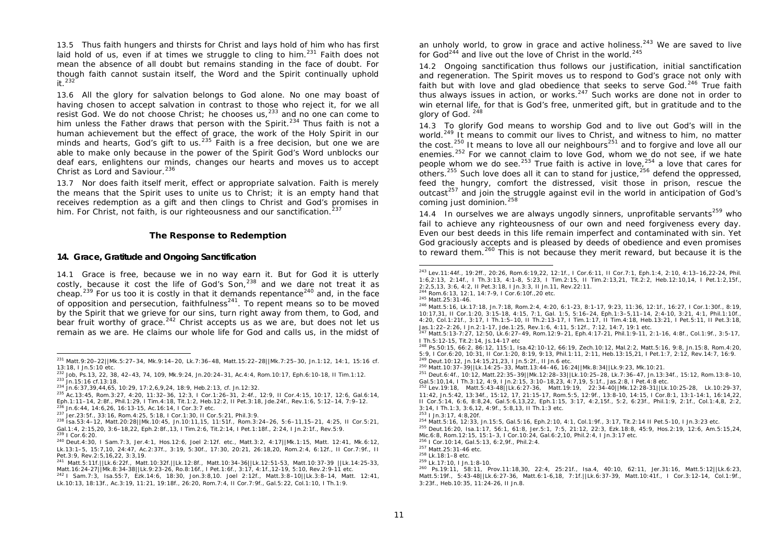13.5 Thus faith hungers and thirsts for Christ and lays hold of him who has first laid hold of us, even if at times we struggle to cling to him.<sup>231</sup> Faith does not mean the absence of all doubt but remains standing in the face of doubt. For though faith cannot sustain itself, the Word and the Spirit continually uphold  $it^{232}$ 

13.6 All the glory for salvation belongs to God alone. No one may boast of having chosen to accept salvation in contrast to those who reject it, for we all resist God. We do not choose Christ; he chooses us,<sup>233</sup> and no one can come to him unless the Father draws that person with the Spirit.<sup>234</sup> Thus faith is not a human achievement but the effect of grace, the work of the Holy Spirit in our minds and hearts, God's gift to us.  $235$  Faith is a free decision, but one we are able to make only because in the power of the Spirit God's Word unblocks our deaf ears, enlightens our minds, changes our hearts and moves us to accept Christ as Lord and Saviour.<sup>236</sup>

13.7 Nor does faith itself merit, effect or appropriate salvation. Faith is merely the means that the Spirit uses to unite us to Christ; it is an empty hand that receives redemption as a gift and then clings to Christ and God's promises in him. For Christ, not faith, is our righteousness and our sanctification.<sup>237</sup>

### **The Response to Redemption**

### **14. Grace, Gratitude and Ongoing Sanctification**

14.1 Grace is free, because we in no way earn it. But for God it is utterly costly, because it cost the life of God's Son,  $238$  and we dare not treat it as cheap.<sup>239</sup> For us too it is costly in that it demands repentance<sup>240</sup> and, in the face of opposition and persecution, faithfulness<sup>241</sup>. To repent means so to be moved by the Spirit that we grieve for our sins, turn right away from them, to God, and bear fruit worthy of grace. $242$  Christ accepts us as we are, but does not let us remain as we are. He claims our whole life for God and calls us, in the midst of

an unholy world, to grow in grace and active holiness.<sup>243</sup> We are saved to live for God<sup>244</sup> and live out the love of Christ in the world.<sup>245</sup>

14.2 Ongoing sanctification thus follows our justification, initial sanctification and regeneration. The Spirit moves us to respond to God's grace not only with faith but with love and glad obedience that seeks to serve God.<sup>246</sup> True faith thus always issues in action, or works.<sup>247</sup> Such works are done not in order to win eternal life, for that is God's free, unmerited gift, but in gratitude and to the glory of God. <sup>248</sup>

14.3 To glorify God means to worship God and to live out God's will in the world.<sup>249</sup> It means to commit our lives to Christ, and witness to him, no matter the cost.<sup>250</sup> It means to love all our neighbours<sup>251</sup> and to forgive and love all our enemies.<sup>252</sup> For we cannot claim to love God, whom we do not see, if we hate people whom we do see.<sup>253</sup> True faith is active in love,<sup>254</sup> a love that cares for others.<sup>255</sup> Such love does all it can to stand for justice,<sup>256</sup> defend the oppressed, feed the hungry, comfort the distressed, visit those in prison, rescue the outcast<sup>257</sup> and join the struggle against evil in the world in anticipation of God's coming just dominion.<sup>258</sup>

14.4 In ourselves we are always ungodly sinners, unprofitable servants<sup>259</sup> who fail to achieve any righteousness of our own and need forgiveness every day. Even our best deeds in this life remain imperfect and contaminated with sin. Yet God graciously accepts and is pleased by deeds of obedience and even promises to reward them.<sup>260</sup> This is not because they merit reward, but because it is the

ł

 <sup>231</sup> Matt.9:20–22||Mk.5:27–34, Mk.9:14–20, Lk.7:36–48, Matt.15:22–28||Mk.7:25–30, Jn.1:12, 14:1, 15:16 cf. 13:18, I Jn.5:10 etc.

<sup>232</sup> Job, Ps.13, 22, 38, 42–43, 74, 109, Mk.9:24, Jn.20:24–31, Ac.4:4, Rom.10:17, Eph.6:10-18, II Tim.1:12. <sup>233</sup> Jn.15:16 cf.13:18.

<sup>234</sup> Jn.6:37,39,44,65, 10:29, 17:2,6,9,24, 18:9, Heb.2:13, cf. Jn.12:32.

<sup>235</sup> Ac.13:45, Rom.3:27, 4:20, 11:32–36, 12:3, I Cor.1:26–31, 2:4f., 12:9, II Cor.4:15, 10:17, 12:6, Gal.6:14, Eph.1:11–14, 2:8f., Phil.1:29, I Tim.4:18, Tit.1:2, Heb.12:2, II Pet.3:18, Jde.24f., Rev.1:6, 5:12–14, 7:9–12. <sup>236</sup> Jn.6:44, 14:6,26, 16:13-15, Ac.16:14, I Cor.3:7 etc.

<sup>237</sup> Jer.23:5f., 33:16, Rom.4:25, 5:18, I Cor.1:30, II Cor.5:21, Phil.3:9.

<sup>238</sup> Isa.53:4–12, Matt.20:28||Mk.10:45, Jn.10:11,15, 11:51f., Rom.3:24–26, 5:6–11,15–21, 4:25, II Cor.5:21, Gal.1:4, 2:15,20, 3:6–18,22, Eph.2:8f.,13, I Tim.2:6, Tit.2:14, I Pet.1:18f., 2:24, I Jn.2:1f., Rev.5:9. <sup>239</sup> I Cor.6:20.

<sup>240</sup> Deut.4:30, I Sam.7:3, Jer.4:1, Hos.12:6, Joel 2:12f. etc., Matt.3:2, 4:17||Mk.1:15, Matt. 12:41, Mk.6:12, Lk.13:1–5, 15:7,10, 24:47, Ac.2:37f., 3:19, 5:30f., 17:30, 20:21, 26:18,20, Rom.2:4, 6:12f., II Cor.7:9f., II Pet.3:9, Rev.2:5,16,22, 3:3,19.

<sup>241</sup> Matt.5:11f.||Lk.6:22f., Matt.10:32f.||Lk.12:8f., Matt.10:34-36||Lk.12:51-53, Matt.10:37-39 ||Lk.14:25-33, Matt.16:24-27||Mk.8:34-38||Lk.9:23-26, Ro.8:16f., I Pet.1:6f., 3:17, 4:1f.,12-19, 5:10, Rev.2:9-11 etc.

<sup>242</sup> I Sam.7:3, Isa.55:7, Ezk.14:6, 18:30, Jon.3:8,10. Joel 2:12f., Matt.3:8–10||Lk.3:8–14, Matt. 12:41, Lk.10:13, 18:13f., Ac.3:19, 11:21, 19:18f., 26:20, Rom.7:4, II Cor.7:9f., Gal.5:22, Col.1:10, I Th.1:9.

<sup>243</sup> Lev.11:44f., 19:2ff., 20:26, Rom.6:19,22, 12:1f., I Cor.6:11, II Cor.7:1, Eph.1:4, 2:10, 4:13–16,22-24, Phil. 1:6,2:13, 2:14f., I Th.3:13, 4:1-8, 5:23, I Tim.2:15, II Tim.2:13,21, Tit.2:2, Heb.12:10,14, I Pet.1:2,15f., 2:2,5,13, 3:6, 4:2, II Pet.3:18, I Jn.3:3, II Jn.11, Rev.22:11.

<sup>244</sup> Rom.6:13, 12:1, 14:7-9, I Cor.6:10f.,20 etc.

<sup>245</sup> Matt.25:31-46.

<sup>246</sup> Matt.5:16, Lk.17:18, Jn.7:18, Rom.2:4, 4:20, 6:1-23, 8:1-17, 9:23, 11:36, 12:1f., 16:27, I Cor.1:30f., 8:19, 10:17,31, II Cor.1:20, 3:15-18, 4:15, 7:1, Gal. 1:5, 5:16–24, Eph.1:3–5,11–14, 2:4-10, 3:21, 4:1, Phil.1:10f., 4:20, Col.1:21f., 3:17, I Th.1:5–10, II Th.2:13-17, I Tim.1:17, II Tim.4:18, Heb.13:21, I Pet.5:11, II Pet.3:18, Jas.1:22–2:26, I Jn.2:1-17, Jde.1:25, Rev.1:6, 4:11, 5:12f., 7:12, 14:7, 19:1 etc.

<sup>247</sup> Matt.5:13-7:27, 12:50, Lk.6:27–49, Rom.12:9–21, Eph.4:17-21, Phil.1:9-11, 2:1-16, 4:8f., Col.1:9f., 3:5-17, I Th.5:12-15, Tit.2:14, Js.14-17 etc

<sup>248</sup> Ps.50:15, 66:2, 86:12, 115:1, Isa.42:10-12, 66:19, Zech.10:12, Mal.2:2, Matt.5:16, 9:8, Jn.15:8, Rom.4:20, 5:9, I Cor.6:20, 10:31, II Cor.1:20, 8:19, 9:13, Phil.1:11, 2:11, Heb.13:15,21, I Pet.1:7, 2:12, Rev.14:7, 16:9. <sup>249</sup> Deut.10:12, Jn.14:15,21,23, I Jn.5:2f., II Jn.6 etc.

<sup>250</sup> Matt.10:37–39||Lk.14:25–33, Matt.13:44–46, 16:24||Mk.8:34||Lk.9:23, Mk.10:21.

<sup>251</sup> Deut.6:4f., 10:12, Matt.22:35–39||Mk.12:28–33||Lk.10:25–28, Lk.7:36–47, Jn.13:34f., 15:12, Rom.13:8–10, Gal.5:10,14, I Th.3:12, 4:9, I Jn.2:15, 3:10–18,23, 4:7,19, 5:1f., Jas.2:8, I Pet.4:8 etc.

<sup>252</sup> Lev.19:18, Matt.5:43-48||Lk.6:27-36, Matt.19:19, 22:34-40||Mk.12:28-31||Lk.10:25-28, Lk.10:29-37, 11:42, Jn.5:42, 13:34f., 15:12, 17, 21:15-17, Rom.5:5, 12:9f., 13:8-10, 14:15, I Cor.8:1, 13:1-14:1, 16:14,22, II Cor.5:14, 6:6, 8:8,24, *Gal.5:6*,13,22, Eph.1:15, 3:17, 4:2,15f., 5:2, 6:23f., Phil.1:9, 2:1f., Col.1:4,8, 2:2, 3:14, I Th.1:3, 3:6,12, 4:9f., 5:8,13, II Th.1:3 etc.

<sup>253</sup> I Jn.3:17, 4:8,20f.

<sup>254</sup> Matt.5:16, 12:33, Jn.15:5, Gal.5:16, Eph.2:10, 4:1, Col.1:9f., 3:17, Tit.2:14 II Pet.5-10, I Jn.3:23 etc. <sup>255</sup> Deut.16:20, Isa.1:17, 56:1, 61:8, Jer.5:1, 7:5, 21:12, 22:3, Ezk.18:8, 45:9, Hos.2:19, 12:6, Am.5:15,24,

Mic.6:8, Rom.12:15, 15:1–3, I Cor.10:24, Gal.6:2,10, Phil.2:4, I Jn.3:17 etc.

<sup>256</sup> I Cor.10:14, Gal.5:13, 6:2,9f., Phil.2:4.

<sup>257</sup> Matt.25:31-46 etc.

<sup>258</sup> Lk.18:1–8 etc.

<sup>259</sup> Lk.17:10, I Jn.1:8-10.

<sup>260</sup> Ps.19:11, 58:11, Prov.11:18,30, 22:4, 25:21f., Isa.4, 40:10, 62:11, Jer.31:16, Matt.5:12||Lk.6:23, Matt.5:19f., 5:43-48||Lk.6:27-36, Matt.6:1-6,18, 7:1f.||Lk.6:37-39, Matt.10:41f., I Cor.3:12-14, Col.1:9f., 3:23f., Heb.10:35, 11:24-26, II Jn.8.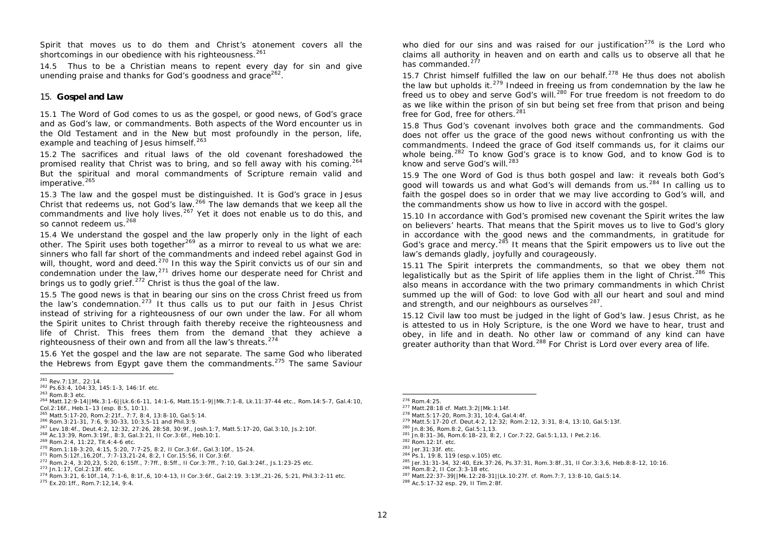Spirit that moves us to do them and Christ's atonement covers all the shortcomings in our obedience with his righteousness.<sup>261</sup>

14.5 Thus to be a Christian means to repent every day for sin and give unending praise and thanks for God's goodness and grace<sup>262</sup>.

### 15. **Gospel and Law**

15.1 The Word of God comes to us as the gospel, or good news, of God's grace and as God's law, or commandments. Both aspects of the Word encounter us in the Old Testament and in the New but most profoundly in the person, life, example and teaching of Jesus himself.<sup>263</sup>

15.2 The sacrifices and ritual laws of the old covenant foreshadowed the promised reality that Christ was to bring, and so fell away with his coming.<sup>264</sup> But the spiritual and moral commandments of Scripture remain valid and imperative. $265$ 

15.3 The law and the gospel must be distinguished. It is God's grace in Jesus Christ that redeems us, not God's law.<sup>266</sup> The law demands that we keep all the commandments and live holy lives.<sup>267</sup> Yet it does not enable us to do this, and so cannot redeem us.<sup>268</sup>

15.4 We understand the gospel and the law properly only in the light of each other. The Spirit uses both together<sup>269</sup> as a mirror to reveal to us what we are: sinners who fall far short of the commandments and indeed rebel against God in will, thought, word and deed.<sup>270</sup> In this way the Spirit convicts us of our sin and condemnation under the law, $^{271}$  drives home our desperate need for Christ and brings us to godly grief.<sup>272</sup> Christ is thus the goal of the law.

15.5 The good news is that in bearing our sins on the cross Christ freed us from the law's condemnation.<sup>273</sup> It thus calls us to put our faith in Jesus Christ instead of striving for a righteousness of our own under the law. For all whom the Spirit unites to Christ through faith thereby receive the righteousness and life of Christ. This frees them from the demand that they achieve a righteousness of their own and from all the law's threats.<sup>274</sup>

15.6 Yet the gospel and the law are not separate. The same God who liberated the Hebrews from Egypt gave them the commandments.<sup>275</sup> The same Saviour who died for our sins and was raised for our justification<sup>276</sup> is the Lord who claims all authority in heaven and on earth and calls us to observe all that he has commanded.<sup>277</sup>

15.7 Christ himself fulfilled the law on our behalf.<sup>278</sup> He thus does not abolish the law but upholds it. $279$  Indeed in freeing us from condemnation by the law he freed us to obey and serve God's will.<sup>280</sup> For true freedom is not freedom to do as we like within the prison of sin but being set free from that prison and being free for God, free for others.<sup>281</sup>

15.8 Thus God's covenant involves both grace and the commandments. God does not offer us the grace of the good news without confronting us with the commandments. Indeed the grace of God itself commands us, for it claims our whole being.<sup>282</sup> To know God's grace is to know God, and to know God is to know and serve God's will.<sup>283</sup>

15.9 The one Word of God is thus both gospel and law: it reveals both God's good will towards us and what God's will demands from us.<sup>284</sup> In calling us to faith the gospel does so in order that we may live according to God's will, and the commandments show us how to live in accord with the gospel.

15.10 In accordance with God's promised new covenant the Spirit writes the law on believers' hearts. That means that the Spirit moves us to live to God's glory in accordance with the good news and the commandments, in gratitude for God's grace and mercy.<sup>285</sup> It means that the Spirit empowers us to live out the law's demands gladly, joyfully and courageously.

15.11 The Spirit interprets the commandments, so that we obey them not legalistically but as the Spirit of life applies them in the light of Christ.<sup>286</sup> This also means in accordance with the two primary commandments in which Christ summed up the will of God: to love God with all our heart and soul and mind and strength, and our neighbours as ourselves  $^{287}$ .

15.12 Civil law too must be judged in the light of God's law. Jesus Christ, as he is attested to us in Holy Scripture, is the one Word we have to hear, trust and obey, in life and in death. No other law or command of any kind can have greater authority than that Word.<sup>288</sup> For Christ is Lord over every area of life.

<sup>281</sup> Jn.8:31–36, Rom.6:18–23, 8:2, I Cor.7:22, Gal.5:1,13, I Pet.2:16.

<sup>286</sup> Rom.8:2, II Cor.3:3-18 etc.

 <sup>261</sup> Rev.7:13f., 22:14.

<sup>262</sup> Ps.63:4, 104:33, 145:1-3, 146:1f. etc.

<sup>263</sup> Rom.8:3 etc.

<sup>264</sup> Matt.12:9-14||Mk.3:1-6||Lk.6:6-11, 14:1-6, Matt.15:1-9||Mk.7:1-8, Lk.11:37-44 etc., Rom.14:5-7, Gal.4:10, Col.2:16f., Heb.1–13 (esp. 8:5, 10:1).

<sup>265</sup> Matt.5:17-20, Rom.2:21f., 7:7, 8:4, 13:8-10, Gal.5:14.

<sup>266</sup> Rom.3:21-31, 7:6, 9:30-33, 10:3,5-11 and Phil.3:9.

<sup>267</sup> Lev.18:4f., Deut.4:2, 12:32, 27:26, 28:58, 30:9f., Josh.1:7, Matt.5:17-20, Gal.3:10, Js.2:10f. <sup>268</sup> Ac.13:39, Rom.3:19f., 8:3, Gal.3:21, II Cor.3:6f., Heb.10:1.

<sup>269</sup> Rom.2:4, 11:22, Tit.4:4-6 etc.

<sup>270</sup> Rom.1:18-3:20, 4:15, 5:20, 7:7-25, 8:2, II Cor.3:6f., Gal.3:10f., 15-24.

<sup>271</sup> Rom.5:12f.,16,20f., 7:7-13,21-24, 8:2, I Cor.15:56, II Cor.3:6f.

<sup>272</sup> Rom.2:4, 3:20,23, 5:20, 6:15ff., 7:7ff., 8:5ff., II Cor.3:7ff., 7:10, Gal.3:24f., Js.1:23-25 etc. <sup>273</sup> Jn.1:17, Col.2:13f. etc.

<sup>274</sup> Rom.3:21, 6:10f.,14, 7:1-6, 8:1f.,6, 10:4-13, II Cor.3:6f., Gal.2:19. 3:13f.,21-26, 5:21, Phil.3:2-11 etc.

<sup>275</sup> Ex.20:1ff., Rom.7:12,14, 9:4.

 <sup>276</sup> Rom.4:25.

<sup>277</sup> Matt.28:18 cf. Matt.3:2||Mk.1:14f.

<sup>278</sup> Matt.5:17-20, Rom.3:31, 10:4, Gal.4:4f.

<sup>279</sup> Matt.5:17-20 cf. Deut.4:2, 12:32; Rom.2:12, 3:31, 8:4, 13:10, Gal.5:13f.

<sup>280</sup> Jn.8:36, Rom.8:2, Gal.5:1,13.

<sup>282</sup> Rom.12:1f. etc.

<sup>283</sup> Jer.31:33f. etc.

<sup>284</sup> Ps.1, 19:8, 119 (esp.v.105) etc.

<sup>285</sup> Jer.31:31-34, 32:40, Ezk.37:26, Ps.37:31, Rom.3:8f.,31, II Cor.3:3,6, Heb.8:8-12, 10:16.

<sup>287</sup> Matt.22:37–39||Mk.12:28-31||Lk.10:27f. cf. Rom.7:7, 13:8-10, Gal.5:14.

<sup>288</sup> Ac.5:17-32 esp. 29, II Tim.2:8f.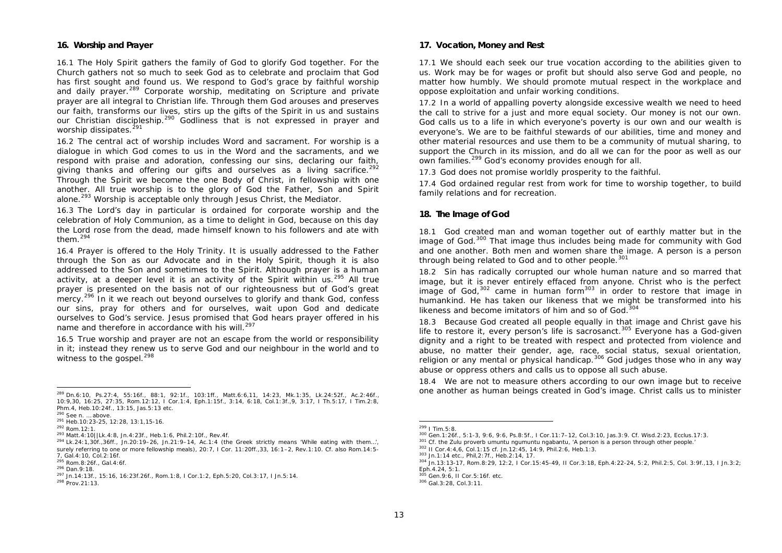### **16. Worship and Prayer**

16.1 The Holy Spirit gathers the family of God to glorify God together. For the Church gathers not so much to seek God as to celebrate and proclaim that God has first sought and found us. We respond to God's grace by faithful worship and daily prayer.<sup>289</sup> Corporate worship, meditating on Scripture and private prayer are all integral to Christian life. Through them God arouses and preserves our faith, transforms our lives, stirs up the gifts of the Spirit in us and sustains our Christian discipleship.<sup>290</sup> Godliness that is not expressed in prayer and worship dissipates.<sup>291</sup>

16.2 The central act of worship includes Word and sacrament. For worship is a dialogue in which God comes to us in the Word and the sacraments, and we respond with praise and adoration, confessing our sins, declaring our faith, giving thanks and offering our gifts and ourselves as a living sacrifice.<sup>292</sup> Through the Spirit we become the one Body of Christ, in fellowship with one another. All true worship is to the glory of God the Father, Son and Spirit alone.<sup>293</sup> Worship is acceptable only through Jesus Christ, the Mediator.

16.3 The Lord's day in particular is ordained for corporate worship and the celebration of Holy Communion, as a time to delight in God, because on this day the Lord rose from the dead, made himself known to his followers and ate with them.<sup>294</sup>

16.4 Prayer is offered to the Holy Trinity. It is usually addressed to the Father through the Son as our Advocate and in the Holy Spirit, though it is also addressed to the Son and sometimes to the Spirit. Although prayer is a human activity, at a deeper level it is an activity of the Spirit within us.<sup>295</sup> All true prayer is presented on the basis not of our righteousness but of God's great mercy.<sup>296</sup> In it we reach out beyond ourselves to glorify and thank God, confess our sins, pray for others and for ourselves, wait upon God and dedicate ourselves to God's service. Jesus promised that God hears prayer offered in his name and therefore in accordance with his will.<sup>297</sup>

16.5 True worship and prayer are not an escape from the world or responsibility in it; instead they renew us to serve God and our neighbour in the world and to witness to the gospel.<sup>298</sup>

### **17. Vocation, Money and Rest**

17.1 We should each seek our true vocation according to the abilities given to us. Work may be for wages or profit but should also serve God and people, no matter how humbly. We should promote mutual respect in the workplace and oppose exploitation and unfair working conditions.

17.2 In a world of appalling poverty alongside excessive wealth we need to heed the call to strive for a just and more equal society. Our money is not our own. God calls us to a life in which everyone's poverty is our own and our wealth is everyone's. We are to be faithful stewards of our abilities, time and money and other material resources and use them to be a community of mutual sharing, to support the Church in its mission, and do all we can for the poor as well as our own families.<sup>299</sup> God's economy provides enough for all.

17.3 God does not promise worldly prosperity to the faithful.

17.4 God ordained regular rest from work for time to worship together, to build family relations and for recreation.

### **18. The Image of God**

18.1 God created man and woman together out of earthly matter but in the image of God.<sup>300</sup> That image thus includes being made for community with God and one another. Both men and women share the image. A person is a person through being related to God and to other people.<sup>301</sup>

18.2 Sin has radically corrupted our whole human nature and so marred that image, but it is never entirely effaced from anyone. Christ who is the perfect image of God,  $302$  came in human form  $303$  in order to restore that image in humankind. He has taken our likeness that we might be transformed into his likeness and become imitators of him and so of God.<sup>304</sup>

18.3 Because God created all people equally in that image and Christ gave his life to restore it, every person's life is sacrosanct.<sup>305</sup> Everyone has a God-given dignity and a right to be treated with respect and protected from violence and abuse, no matter their gender, age, race, social status, sexual orientation, religion or any mental or physical handicap.<sup>306</sup> God judges those who in any way abuse or oppress others and calls us to oppose all such abuse.

18.4 We are not to measure others according to our own image but to receive one another as human beings created in God's image. Christ calls us to minister

 <sup>289</sup> Dn.6:10, Ps.27:4, 55:16f., 88:1, 92:1f., 103:1ff., Matt.6:6,11, 14:23, Mk.1:35, Lk.24:52f., Ac.2:46f., 10:9,30, 16:25, 27:35, Rom.12:12, I Cor.1:4, Eph.1:15f., 3:14, 6:18, Col.1:3f.,9, 3:17, I Th.5:17, I Tim.2:8, Phm.4, Heb.10:24f., 13:15, Jas.5:13 etc.

 $290$  See n. ... above.

<sup>291</sup> Heb.10:23-25, 12:28, 13:1,15-16.

<sup>292</sup> Rom.12:1.

<sup>293</sup> Matt.4:10||Lk.4:8, Jn.4:23f., Heb.1:6, Phil.2:10f., Rev.4f.

 $^{294}$  Lk.24:1,30f.,36ff., Jn.20:19–26, Jn.21:9–14, Ac.1:4 (the Greek strictly means 'While eating with them...', surely referring to one or more fellowship meals), 20:7, I Cor. 11:20ff., 33, 16:1–2, Rev.1:10. Cf. also Rom.14:5-7, Gal.4:10, Col.2:16f.

<sup>295</sup> Rom.8:26f., Gal.4:6f.

<sup>296</sup> Dan.9:18.

<sup>297</sup> Jn.14:13f., 15:16, 16:23f.26f., Rom.1:8, I Cor.1:2, Eph.5:20, Col.3:17, I Jn.5:14.

<sup>298</sup> Prov.21:13.

 $^{299}$  I Tim.5:8.

<sup>300</sup> Gen.1:26f., 5:1-3, 9:6, 9:6, Ps.8:5f., I Cor.11:7–12, Col.3:10, Jas.3:9. Cf. Wisd.2:23, Ecclus.17:3.

<sup>&</sup>lt;sup>301</sup> Cf. the Zulu proverb *umuntu ngumuntu ngabantu*, 'A person is a person through other people.

<sup>302</sup> II Cor.4:4,6, Col.1:15 cf. Jn.12:45, 14:9, Phil.2:6, Heb.1:3.

<sup>303</sup> Jn.1:14 etc., Phil,2:7f., Heb.2:14, 17.

<sup>304</sup> Jn.13:13-17, Rom.8:29, 12:2, I Cor.15:45-49, II Cor.3:18, Eph.4:22-24, 5:2, Phil.2:5, Col. 3:9f.,13, I Jn.3:2; Eph.4.24, 5:1.

<sup>305</sup> Gen. 9: 6, II Cor. 5: 16f. etc.

<sup>306</sup> Gal.3:28, Col.3:11.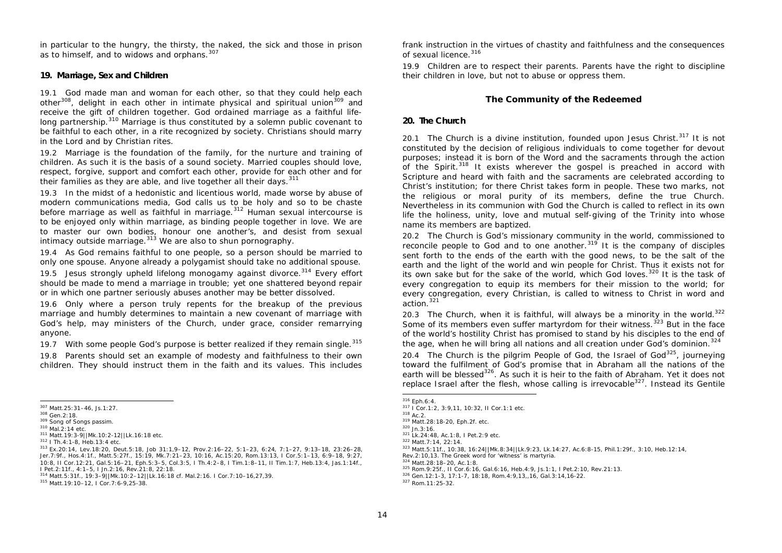in particular to the hungry, the thirsty, the naked, the sick and those in prison as to himself, and to widows and orphans.<sup>307</sup>

## **19. Marriage, Sex and Children**

19.1 God made man and woman for each other, so that they could help each other<sup>308</sup>, delight in each other in intimate physical and spiritual union<sup>309</sup> and receive the gift of children together. God ordained marriage as a faithful lifelong partnership.<sup>310</sup> Marriage is thus constituted by a solemn public covenant to be faithful to each other, in a rite recognized by society. Christians should marry in the Lord and by Christian rites.

19.2 Marriage is the foundation of the family, for the nurture and training of children. As such it is the basis of a sound society. Married couples should love, respect, forgive, support and comfort each other, provide for each other and for their families as they are able, and live together all their days. 311

19.3 In the midst of a hedonistic and licentious world, made worse by abuse of modern communications media, God calls us to be holy and so to be chaste before marriage as well as faithful in marriage. $312$  Human sexual intercourse is to be enjoyed only within marriage, as binding people together in love. We are to master our own bodies, honour one another's, and desist from sexual intimacy outside marriage. $313$  We are also to shun pornography.

19.4 As God remains faithful to one people, so a person should be married to only one spouse. Anyone already a polygamist should take no additional spouse.

19.5 Jesus strongly upheld lifelong monogamy against divorce.<sup>314</sup> Every effort should be made to mend a marriage in trouble; yet one shattered beyond repair or in which one partner seriously abuses another may be better dissolved.

19.6 Only where a person truly repents for the breakup of the previous marriage and humbly determines to maintain a new covenant of marriage with God's help, may ministers of the Church, under grace, consider remarrying anyone.

19.7 With some people God's purpose is better realized if they remain single.<sup>315</sup>

19.8 Parents should set an example of modesty and faithfulness to their own children. They should instruct them in the faith and its values. This includes frank instruction in the virtues of chastity and faithfulness and the consequences of sexual licence.<sup>316</sup>

19.9 Children are to respect their parents. Parents have the right to discipline their children in love, but not to abuse or oppress them.

# **The Community of the Redeemed**

### **20. The Church**

20.1 The Church is a divine institution, founded upon Jesus Christ. $317$  It is not constituted by the decision of religious individuals to come together for devout purposes; instead it is born of the Word and the sacraments through the action of the Spirit.<sup>318</sup> It exists wherever the gospel is preached in accord with Scripture and heard with faith and the sacraments are celebrated according to Christ's institution; for there Christ takes form in people. These two marks, not the religious or moral purity of its members, define the true Church. Nevertheless in its communion with God the Church is called to reflect in its own life the holiness, unity, love and mutual self-giving of the Trinity into whose name its members are baptized.

20.2 The Church is God's missionary community in the world, commissioned to reconcile people to God and to one another.<sup>319</sup> It is the company of disciples sent forth to the ends of the earth with the good news, to be the salt of the earth and the light of the world and win people for Christ. Thus it exists not for its own sake but for the sake of the world, which God loves.<sup>320</sup> It is the task of every congregation to equip its members for their mission to the world; for every congregation, every Christian, is called to witness to Christ in word and action.<sup>321</sup>

20.3 The Church, when it is faithful, will always be a minority in the world.<sup>322</sup> Some of its members even suffer martyrdom for their witness.  $323$  But in the face of the world's hostility Christ has promised to stand by his disciples to the end of the age, when he will bring all nations and all creation under God's dominion.<sup>324</sup>

20.4 The Church is the pilgrim People of God, the Israel of God<sup>325</sup>, journeying toward the fulfilment of God's promise that in Abraham all the nations of the earth will be blessed<sup>326</sup>. As such it is heir to the faith of Abraham. Yet it does not replace Israel after the flesh, whose calling is irrevocable $327$ . Instead its Gentile

 <sup>307</sup> Matt.25:31–46, Js.1:27.

<sup>308</sup> Gen.2:18.

<sup>309</sup> Song of Songs *passim*. <sup>310</sup> Mal.2:14 etc.

<sup>311</sup> Matt.19:3-9||Mk.10:2-12||Lk.16:18 etc.

<sup>312</sup> I Th.4:1-8, Heb.13:4 etc.

<sup>313</sup> Ex.20:14, Lev.18:20, Deut.5:18, Job 31:1,9–12, Prov.2:16–22, 5:1–23, 6:24, 7:1–27, 9:13–18, 23:26–28, Jer.7:9f., Hos.4:1f., Matt.5:27f., 15:19, Mk.7:21–23, 10:16, Ac.15:20, Rom.13:13, I Cor.5:1–13, 6:9–18, 9:27, 10:8, II Cor.12:21, Gal.5:16–21, Eph.5:3–5, Col.3:5, I Th.4:2–8, I Tim.1:8–11, II Tim.1:7, Heb.13:4, Jas.1:14f., I Pet.2:11f., 4:1–5, I Jn.2:16, Rev.21:8, 22:18.

<sup>314</sup> Matt.5:31f., 19:3–9||Mk.10:2–12||Lk.16:18 cf. Mal.2:16. I Cor.7:10–16,27,39.

<sup>315</sup> Matt.19:10–12, I Cor.7:6-9,25-38.

 $316$  Eph.6:4.

<sup>317</sup> I Cor.1:2, 3:9,11, 10:32, II Cor.1:1 etc.

 $318$  Ac. 2.

<sup>319</sup> Matt.28:18-20, Eph.2f. etc.

<sup>320</sup> Jn.3:16. <sup>321</sup> Lk.24:48, Ac.1:8, I Pet.2:9 etc.

<sup>322</sup> Matt.7:14, 22:14.

<sup>323</sup> Matt.5:11f., 10:38, 16:24||Mk.8:34||Lk.9:23, Lk.14:27, Ac.6:8-15, Phil.1:29f., 3:10, Heb.12:14,

Rev.2:10,13. The Greek word for 'witness' is *martyria.*

<sup>324</sup> Matt.28:18–20, Ac.1:8.

<sup>325</sup> Rom.9:25f., II Cor.6:16, Gal.6:16, Heb.4:9, Js.1:1, I Pet.2:10, Rev.21:13.

<sup>326</sup> Gen.12:1-3, 17:1-7, 18:18, Rom.4:9,13,,16, Gal.3:14,16-22.

<sup>327</sup> Rom.11:25-32.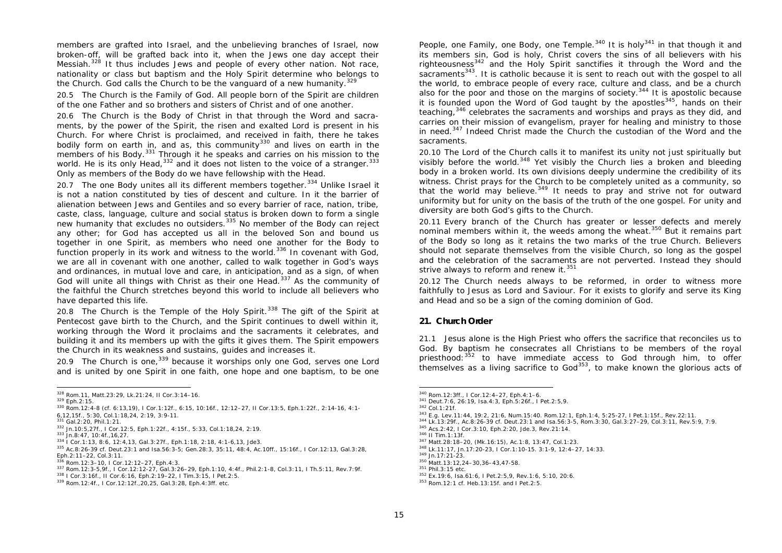members are grafted into Israel, and the unbelieving branches of Israel, now broken-off, will be grafted back into it, when the Jews one day accept their Messiah.<sup>328</sup> It thus includes Jews and people of every other nation. Not race, nationality or class but baptism and the Holy Spirit determine who belongs to the Church. God calls the Church to be the vanguard of a new humanity.<sup>329</sup>

20.5 The Church is the Family of God. All people born of the Spirit are children of the one Father and so brothers and sisters of Christ and of one another.

20.6 The Church is the Body of Christ in that through the Word and sacraments, by the power of the Spirit, the risen and exalted Lord is present in his Church. For where Christ is proclaimed, and received in faith, there he takes bodily form on earth in, and as, this community<sup>330</sup> and lives on earth in the members of his Body.<sup>331</sup> Through it he speaks and carries on his mission to the world. He is its only Head,  $332$  and it does not listen to the voice of a stranger.  $333$ Only as members of the Body do we have fellowship with the Head.

20.7 The one Body unites all its different members together. $334$  Unlike Israel it is not a nation constituted by ties of descent and culture. In it the barrier of alienation between Jews and Gentiles and so every barrier of race, nation, tribe, caste, class, language, culture and social status is broken down to form a single new humanity that excludes no outsiders.<sup>335</sup> No member of the Body can reject any other; for God has accepted us all in the beloved Son and bound us together in one Spirit, as members who need one another for the Body to function properly in its work and witness to the world.<sup>336</sup> In covenant with God. we are all in covenant with one another, called to walk together in God's ways and ordinances, in mutual love and care, in anticipation, and as a sign, of when God will unite all things with Christ as their one Head. $337$  As the community of the faithful the Church stretches beyond this world to include all believers who have departed this life.

20.8 The Church is the Temple of the Holy Spirit.<sup>338</sup> The gift of the Spirit at Pentecost gave birth to the Church, and the Spirit continues to dwell within it, working through the Word it proclaims and the sacraments it celebrates, and building it and its members up with the gifts it gives them. The Spirit empowers the Church in its weakness and sustains, guides and increases it.

20.9 The Church is one,  $339$  because it worships only one God, serves one Lord and is united by one Spirit in one faith, one hope and one baptism, to be one People, one Family, one Body, one Temple.<sup>340</sup> It is holy<sup>341</sup> in that though it and its members sin, God is holy, Christ covers the sins of all believers with his righteousness<sup>342</sup> and the Holy Spirit sanctifies it through the Word and the sacraments<sup>343</sup>. It is catholic because it is sent to reach out with the gospel to all the world, to embrace people of every race, culture and class, and be a church also for the poor and those on the margins of society.<sup>344</sup> It is apostolic because it is founded upon the Word of God taught by the apostles $345$ , hands on their teaching,<sup>346</sup> celebrates the sacraments and worships and prays as they did, and carries on their mission of evangelism, prayer for healing and ministry to those in need.<sup>347</sup> Indeed Christ made the Church the custodian of the Word and the sacraments.

20.10 The Lord of the Church calls it to manifest its unity not just spiritually but visibly before the world.<sup>348</sup> Yet visibly the Church lies a broken and bleeding body in a broken world. Its own divisions deeply undermine the credibility of its witness. Christ prays for the Church to be completely united as a community, so that the world may believe. $349$  It needs to pray and strive not for outward uniformity but for unity on the basis of the truth of the one gospel. For unity and diversity are both God's gifts to the Church.

20.11 Every branch of the Church has greater or lesser defects and merely nominal members within it, the weeds among the wheat.<sup>350</sup> But it remains part of the Body so long as it retains the two marks of the true Church. Believers should not separate themselves from the visible Church, so long as the gospel and the celebration of the sacraments are not perverted. Instead they should strive always to reform and renew it.<sup>351</sup>

20.12 The Church needs always to be reformed, in order to witness more faithfully to Jesus as Lord and Saviour. For it exists to glorify and serve its King and Head and so be a sign of the coming dominion of God.

# **21. Church Order**

21.1 Jesus alone is the High Priest who offers the sacrifice that reconciles us to God. By baptism he consecrates all Christians to be members of the royal priesthood: 352 to have immediate access to God through him, to offer themselves as a living sacrifice to God<sup>353</sup>, to make known the glorious acts of

 <sup>328</sup> Rom.11, Matt.23:29, Lk.21:24, II Cor.3:14–16.

<sup>329</sup> Eph.2:15.

<sup>330</sup> Rom.12:4-8 (cf. 6:13,19), I Cor.1:12f., 6:15, 10:16f., 12:12–27, II Cor.13:5, Eph.1:22f., 2:14-16, 4:1- 6,12,15f., 5:30, Col.1:18,24, 2:19, 3:9-11.

<sup>331</sup> Gal.2:20, Phil.1:21.

<sup>332</sup> Jn.10:5,27f., I Cor.12:5, Eph.1:22f., 4:15f., 5:33, Col.1:18,24, 2:19.

<sup>333</sup> Jn.8:47, 10:4f.,16,27.

<sup>334</sup> I Cor.1:13, 8:6, 12:4,13, Gal.3:27f., Eph.1:18, 2:18, 4:1-6,13, Jde3.

<sup>335</sup> Ac.8:26-39 cf. Deut.23:1 and Isa.56:3-5; Gen.28:3, 35:11, 48:4, Ac.10ff., 15:16f., I Cor.12:13, Gal.3:28, Eph.2:11–22, Col.3:11. <sup>336</sup> Rom.12:3–10, I Cor.12:12–27, Eph.4:3.

<sup>337</sup> Rom.12:3-5,9f., I Cor.12:12-27, Gal.3:26–29, Eph.1:10, 4:4f., Phil.2:1-8, Col.3:11, I Th.5:11, Rev.7:9f.

<sup>338</sup> I Cor.3:16f., II Cor.6:16, Eph.2:19–22, I Tim.3:15, I Pet.2:5.

<sup>339</sup> Rom.12:4f., I Cor.12:12f.,20,25, Gal.3:28, Eph.4:3ff. etc.

 <sup>340</sup> Rom.12:3ff., I Cor.12:4–27, Eph.4:1–6.

<sup>341</sup> Deut.7:6, 26:19, Isa.4:3, Eph.5:26f., I Pet.2:5,9.

<sup>342</sup> Col.1:21f.

<sup>343</sup> E.g. Lev.11:44, 19:2, 21:6, Num.15:40. Rom.12:1, Eph.1:4, 5:25-27, I Pet.1:15f., Rev.22:11.

<sup>344</sup> Lk.13:29f., Ac.8:26-39 cf. Deut.23:1 and Isa.56:3-5, Rom.3:30, Gal.3:27–29, Col.3:11, Rev.5:9, 7:9.

<sup>345</sup> Acs.2:42, I Cor.3:10, Eph.2:20, Jde.3, Rev.21:14. <sup>346</sup> II Tim.1:13f.

<sup>347</sup> Matt.28:18–20, (Mk.16:15), Ac.1:8, 13:47, Col.1:23. <sup>348</sup> Lk.11:17, Jn.17:20-23, I Cor.1:10-15. 3:1-9, 12:4–27, 14:33.

<sup>349</sup> Jn.17:21-23.

<sup>350</sup> Matt.13:12,24–30,36–43,47-58.

<sup>351</sup> Phil.3:15 etc.

<sup>352</sup> Ex.19:6, Isa.61:6, I Pet.2:5,9, Rev.1:6, 5:10, 20:6.

<sup>353</sup> Rom.12:1 cf. Heb.13:15f. and I Pet.2:5.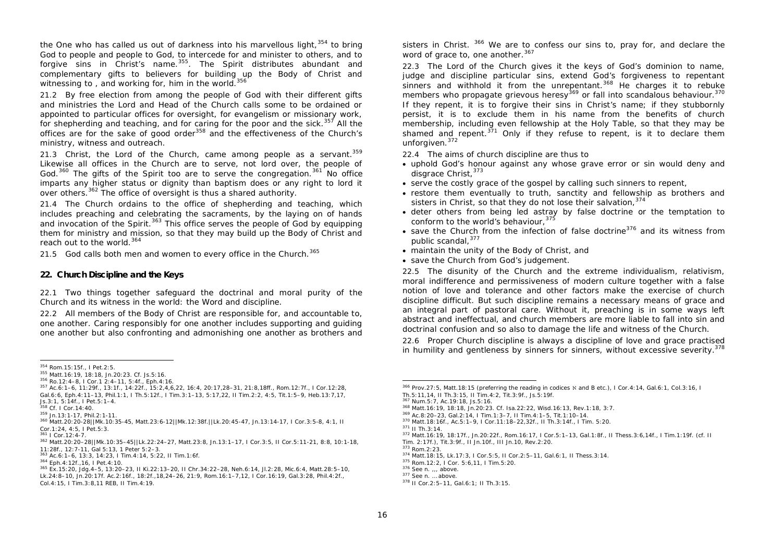the One who has called us out of darkness into his marvellous light,  $354$  to bring God to people and people to God, to intercede for and minister to others, and to forgive sins in Christ's name.<sup>355</sup>. The Spirit distributes abundant and complementary gifts to believers for building up the Body of Christ and witnessing to, and working for, him in the world.<sup>356</sup>

21.2 By free election from among the people of God with their different gifts and ministries the Lord and Head of the Church calls some to be ordained or appointed to particular offices for oversight, for evangelism or missionary work, for shepherding and teaching, and for caring for the poor and the sick. $357$  All the offices are for the sake of good order<sup>358</sup> and the effectiveness of the Church's ministry, witness and outreach.

21.3 Christ, the Lord of the Church, came among people as a servant.  $359$ Likewise all offices in the Church are to serve, not lord over, the people of God.<sup>360</sup> The gifts of the Spirit too are to serve the congregation.<sup>361</sup> No office imparts any higher status or dignity than baptism does or any right to lord it over others.<sup>362</sup> The office of oversight is thus a shared authority.

21.4 The Church ordains to the office of shepherding and teaching, which includes preaching and celebrating the sacraments, by the laying on of hands and invocation of the Spirit.<sup>363</sup> This office serves the people of God by equipping them for ministry and mission, so that they may build up the Body of Christ and reach out to the world.<sup>364</sup>

21.5 God calls both men and women to every office in the Church.<sup>365</sup>

### **22. Church Discipline and the Keys**

22.1 Two things together safeguard the doctrinal and moral purity of the Church and its witness in the world: the Word and discipline.

22.2 All members of the Body of Christ are responsible for, and accountable to, one another. Caring responsibly for one another includes supporting and guiding one another but also confronting and admonishing one another as brothers and sisters in Christ. 366 We are to confess our sins to, pray for, and declare the word of grace to, one another.<sup>367</sup>

22.3 The Lord of the Church gives it the keys of God's dominion to name, judge and discipline particular sins, extend God's forgiveness to repentant sinners and withhold it from the unrepentant.  $368$  He charges it to rebuke members who propagate grievous heresy<sup>369</sup> or fall into scandalous behaviour.<sup>370</sup> members who propagate grievous heresy<sup>369</sup> or fall into scandalous behaviour.<sup>370</sup> If they repent, it is to forgive their sins in Christ's name; if they stubbornly persist, it is to exclude them in his name from the benefits of church membership, including even fellowship at the Holy Table, so that they may be shamed and repent.<sup>371</sup> Only if they refuse to repent, is it to declare them unforgiven.<sup>372</sup>

22.4 The aims of church discipline are thus to

- uphold God's honour against any whose grave error or sin would deny and disgrace Christ, 373
- serve the costly grace of the gospel by calling such sinners to repent,
- restore them eventually to truth, sanctity and fellowship as brothers and sisters in Christ, so that they do not lose their salvation,  $374$
- deter others from being led astray by false doctrine or the temptation to conform to the world's behaviour.<sup>375</sup>
- save the Church from the infection of false doctrine<sup>376</sup> and its witness from public scandal.<sup>377</sup>
- maintain the unity of the Body of Christ, and
- save the Church from God's judgement.

22.5 The disunity of the Church and the extreme individualism, relativism, moral indifference and permissiveness of modern culture together with a false notion of love and tolerance and other factors make the exercise of church discipline difficult. But such discipline remains a necessary means of grace and an integral part of pastoral care. Without it, preaching is in some ways left abstract and ineffectual, and church members are more liable to fall into sin and doctrinal confusion and so also to damage the life and witness of the Church.

22.6 Proper Church discipline is always a discipline of love and grace practised in humility and gentleness by sinners for sinners, without excessive severity.<sup>378</sup>

Th.5:11,14, II Th.3:15, II Tim.4:2, Tit.3:9f., Js.5:19f.

- <sup>367</sup> Num.5:7, Ac.19:18, Js.5:16.
- <sup>368</sup> Matt.16:19, 18:18, Jn.20:23. Cf. Isa.22:22, Wisd.16:13, Rev.1:18, 3:7.
- <sup>369</sup> Ac.8:20–23, Gal.2:14, I Tim.1:3–7, II Tim.4:1–5, Tit.1:10–14.
- <sup>370</sup> Matt.18:16f., Ac.5:1–9, I Cor.11:18–22,32f., II Th.3:14f., I Tim. 5:20. <sup>371</sup> II Th.3:14.

<sup>375</sup> Rom.12:2, I Cor. 5:6,11, I Tim.5:20.

 <sup>354</sup> Rom.15:15f., I Pet.2:5.

<sup>355</sup> Matt.16:19, 18:18, Jn.20:23. Cf. Js.5:16.

<sup>356</sup> Ro.12:4–8, I Cor.1 2:4–11, 5:4f., Eph.4:16.

<sup>357</sup> Ac.6:1–6, 11:29f., 13:1f., 14:22f., 15:2,4,6,22, 16:4, 20:17,28–31, 21:8,18ff., Rom.12:7f., I Cor.12:28, Gal.6:6, Eph.4:11–13, Phil.1:1, I Th.5:12f., I Tim.3:1–13, 5:17,22, II Tim.2:2, 4:5, Tit.1:5–9, Heb.13:7,17, Js.3:1, 5:14f., I Pet.5:1–4.

<sup>358</sup> Cf. I Cor.14:40.

<sup>359</sup> Jn.13:1-17, Phil.2:1-11.

<sup>360</sup> Matt.20:20-28||Mk.10:35-45, Matt.23:6-12||Mk.12:38f.||Lk.20:45-47, Jn.13:14-17, I Cor.3:5-8, 4:1, II Cor.1:24, 4:5, I Pet.5:3.

<sup>361</sup> I Cor.12:4-7.

<sup>362</sup> Matt.20:20–28||Mk.10:35–45||Lk.22:24–27, Matt.23:8, Jn.13:1–17, I Cor.3:5, II Cor.5:11-21, 8:8, 10:1-18, 11:28f., 12:7-11, Gal 5:13, 1 Peter 5:2–3.

<sup>363</sup> Ac.6:1–6, 13:3, 14:23, I Tim.4:14, 5:22, II Tim.1:6f.

<sup>364</sup> Eph.4:12f.,16, I Pet.4:10.

<sup>365</sup> Ex.15:20, Jdg.4–5, 13:20–23, II Ki.22:13–20, II Chr.34:22–28, Neh.6:14, Jl.2:28, Mic.6:4, Matt.28:5–10, Lk.24:8–10, Jn.20:17f. Ac.2:16f., 18:2f.,18,24–26, 21:9, Rom.16:1–7,12, I Cor.16:19, Gal.3:28, Phil.4:2f., Col.4:15, I Tim.3:8,11 REB, II Tim.4:19.

 $\frac{366}{2}$  Prov.27:5, Matt.18:15 (preferring the reading in codices  $\aleph$  and B etc.), I Cor.4:14, Gal.6:1, Col.3:16, I

<sup>372</sup> Matt.16:19, 18:17f., Jn.20:22f., Rom.16:17, I Cor.5:1–13, Gal.1:8f., II Thess.3:6,14f., I Tim.1:19f. (cf. II Tim. 2:17f.), Tit.3:9f., II Jn.10f., III Jn.10, Rev.2:20.

<sup>373</sup> Rom.2:23.

<sup>374</sup> Matt.18:15, Lk.17:3, I Cor.5:5, II Cor.2:5–11, Gal.6:1, II Thess.3:14.

<sup>376</sup> See n. , , above.

<sup>377</sup> See n. … above.

<sup>378</sup> II Cor.2:5–11, Gal.6:1; II Th.3:15.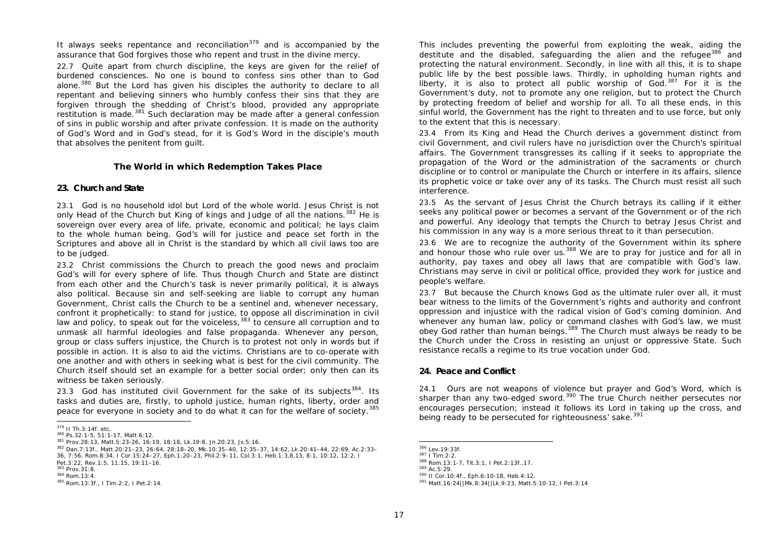It always seeks repentance and reconciliation<sup>379</sup> and is accompanied by the assurance that God forgives those who repent and trust in the divine mercy.

22.7 Quite apart from church discipline, the keys are given for the relief of burdened consciences. No one is bound to confess sins other than to God alone.<sup>380</sup> But the Lord has given his disciples the authority to declare to all repentant and believing sinners who humbly confess their sins that they are forgiven through the shedding of Christ's blood, provided any appropriate restitution is made. $381$  Such declaration may be made after a general confession of sins in public worship and after private confession. It is made on the authority of God's Word and in God's stead, for it is God's Word in the disciple's mouth that absolves the penitent from guilt.

#### **The World in which Redemption Takes Place**

### **23. Church and State**

23.1 God is no household idol but Lord of the whole world. Jesus Christ is not only Head of the Church but King of kings and Judge of all the nations.<sup>382</sup> He is sovereign over every area of life, private, economic and political; he lays claim to the whole human being. God's will for justice and peace set forth in the Scriptures and above all in Christ is the standard by which all civil laws too are to be judged*.*

23.2 Christ commissions the Church to preach the good news and proclaim God's will for every sphere of life. Thus though Church and State are distinct from each other and the Church's task is never primarily political, it is always also political. Because sin and self-seeking are liable to corrupt any human Government, Christ calls the Church to be a sentinel and, whenever necessary, confront it prophetically: to stand for justice, to oppose all discrimination in civil law and policy, to speak out for the voiceless,  $383$  to censure all corruption and to unmask all harmful ideologies and false propaganda. Whenever any person, group or class suffers injustice, the Church is to protest not only in words but if possible in action. It is also to aid the victims. Christians are to co-operate with one another and with others in seeking what is best for the civil community. The Church itself should set an example for a better social order; only then can its witness be taken seriously.

23.3 God has instituted civil Government for the sake of its subjects  $384$ . Its tasks and duties are, firstly, to uphold justice, human rights, liberty, order and peace for everyone in society and to do what it can for the welfare of society.<sup>385</sup>

This includes preventing the powerful from exploiting the weak, aiding the destitute and the disabled, safeguarding the alien and the refugee<sup>386</sup> and protecting the natural environment. Secondly, in line with all this, it is to shape public life by the best possible laws. Thirdly, in upholding human rights and liberty, it is also to protect all public worship of  $God.<sup>387</sup>$  For it is the Government's duty, not to promote any one religion, but to protect the Church by protecting freedom of belief and worship for all. To all these ends, in this sinful world, the Government has the right to threaten and to use force, but only to the extent that this is necessary.

23.4 From its King and Head the Church derives a government distinct from civil Government, and civil rulers have no jurisdiction over the Church's spiritual affairs. The Government transgresses its calling if it seeks to appropriate the propagation of the Word or the administration of the sacraments or church discipline or to control or manipulate the Church or interfere in its affairs, silence its prophetic voice or take over any of its tasks. The Church must resist all such interference.

23.5 As the servant of Jesus Christ the Church betrays its calling if it either seeks any political power or becomes a servant of the Government or of the rich and powerful. Any ideology that tempts the Church to betray Jesus Christ and his commission in any way is a more serious threat to it than persecution.

23.6 We are to recognize the authority of the Government within its sphere and honour those who rule over us.  $388$  We are to pray for justice and for all in authority, pay taxes and obey all laws that are compatible with God's law. Christians may serve in civil or political office, provided they work for justice and people's welfare.

23.7 But because the Church knows God as the ultimate ruler over all, it must bear witness to the limits of the Government's rights and authority and confront oppression and injustice with the radical vision of God's coming dominion. And whenever any human law, policy or command clashes with God's law, we must obey God rather than human beings.<sup>389</sup> The Church must always be ready to be the Church under the Cross in resisting an unjust or oppressive State. Such resistance recalls a regime to its true vocation under God.

#### **24. Peace and Conflict**

24.1 Ours are not weapons of violence but prayer and God's Word, which is sharper than any two-edged sword.<sup>390</sup> The true Church neither persecutes nor encourages persecution; instead it follows its Lord in taking up the cross, and being ready to be persecuted for righteousness' sake.<sup>391</sup>

<sup>&</sup>lt;sup>379</sup> II Th.3:14f. etc.

<sup>380</sup> Ps.32:1-5, 51:1-17, Matt.6:12.

<sup>381</sup> Prov.28:13, Matt.5:23-26, 16:19, 18:18, Lk.19:8, Jn.20:23, Js.5:16.

<sup>382</sup> Dan.7:13f., Matt.20:21–23, 26:64, 28:18–20, Mk.10:35–40, 12:35–37, 14:62, Lk.20:41–44, 22:69, Ac.2:33– 36, 7:56, Rom.8:34, I Cor.15:24–27, Eph.1:20–23, Phil.2:9–11, Col.3:1, Heb.1:3,8,13, 8:1, 10:12, 12:2, I Pet.3:22, Rev.1:5, 11:15, 19:11–16.

<sup>383</sup> Prov.31:8.

<sup>384</sup> Rom.13:4.

<sup>385</sup> Rom.13:3f., I Tim.2:2, I Pet.2:14.

 <sup>386</sup> Lev.19:33f.

<sup>387</sup> I Tim.2:2.

<sup>388</sup> Rom.13:1-7, Tit.3:1, I Pet.2:13f.,17.

<sup>389</sup> Ac.5:29.

<sup>390</sup> II Cor.10:4f., Eph.6:10-18, Heb.4:12.

<sup>391</sup> Matt.16:24||Mk.8:34||Lk.9:23, Matt.5:10-12, I Pet.3:14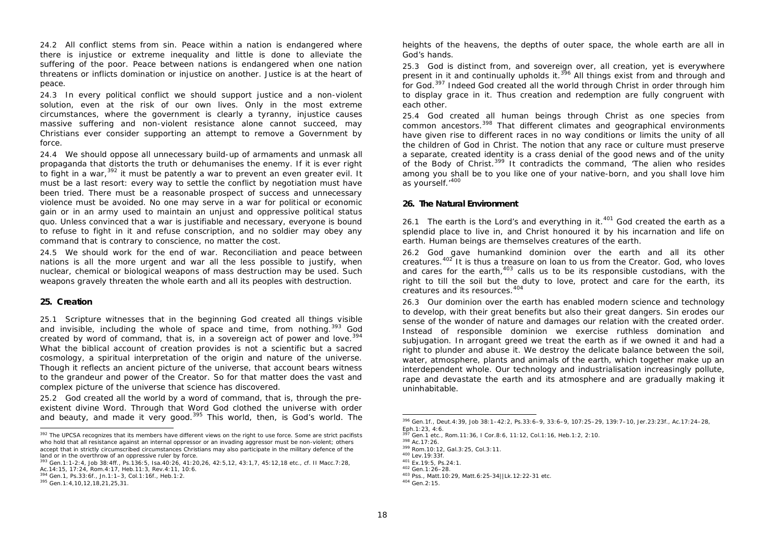24.2 All conflict stems from sin. Peace within a nation is endangered where there is injustice or extreme inequality and little is done to alleviate the suffering of the poor. Peace between nations is endangered when one nation threatens or inflicts domination or injustice on another. Justice is at the heart of peace.

24.3 In every political conflict we should support justice and a non-violent solution, even at the risk of our own lives. Only in the most extreme circumstances, where the government is clearly a tyranny, injustice causes massive suffering and non-violent resistance alone cannot succeed, may Christians ever consider supporting an attempt to remove a Government by force.

24.4 We should oppose all unnecessary build-up of armaments and unmask all propaganda that distorts the truth or dehumanises the enemy. If it is ever right to fight in a war,<sup>392</sup> it must be patently a war to prevent an even greater evil. It must be a last resort: every way to settle the conflict by negotiation must have been tried. There must be a reasonable prospect of success and unnecessary violence must be avoided. No one may serve in a war for political or economic gain or in an army used to maintain an unjust and oppressive political status quo. Unless convinced that a war is justifiable and necessary, everyone is bound to refuse to fight in it and refuse conscription, and no soldier may obey any command that is contrary to conscience, no matter the cost.

24.5 We should work for the end of war. Reconciliation and peace between nations is all the more urgent and war all the less possible to justify, when nuclear, chemical or biological weapons of mass destruction may be used. Such weapons gravely threaten the whole earth and all its peoples with destruction.

# **25. Creation**

25.1 Scripture witnesses that in the beginning God created all things visible and invisible, including the whole of space and time, from nothing.<sup>393</sup> God created by word of command, that is, in a sovereign act of power and love.<sup>394</sup> What the biblical account of creation provides is not a scientific but a sacred cosmology, a spiritual interpretation of the origin and nature of the universe. Though it reflects an ancient picture of the universe, that account bears witness to the grandeur and power of the Creator. So for that matter does the vast and complex picture of the universe that science has discovered.

25.2 God created all the world by a word of command, that is, through the preexistent divine Word. Through that Word God clothed the universe with order and beauty, and made it very good.<sup>395</sup> This world, then, is God's world. The heights of the heavens, the depths of outer space, the whole earth are all in God's hands.

25.3 God is distinct from, and sovereign over, all creation, yet is everywhere present in it and continually upholds it.<sup>396</sup> All things exist from and through and for God.*<sup>397</sup>* Indeed God created all the world through Christ in order through him to display grace in it. Thus creation and redemption are fully congruent with each other.

25.4 God created all human beings through Christ as one species from common ancestors.<sup>398</sup> That different climates and geographical environments have given rise to different races in no way conditions or limits the unity of all the children of God in Christ. The notion that any race or culture must preserve a separate, created identity is a crass denial of the good news and of the unity of the Body of Christ.<sup>399</sup> It contradicts the command, 'The alien who resides among you shall be to you like one of your native-born, and you shall love him as yourself.'<sup>400</sup>

### **26. The Natural Environment**

26.1 The earth is the Lord's and everything in it.<sup>401</sup> God created the earth as a splendid place to live in, and Christ honoured it by his incarnation and life on earth. Human beings are themselves creatures of the earth.

26.2 God gave humankind dominion over the earth and all its other creatures. $402$  It is thus a treasure on loan to us from the Creator. God, who loves and cares for the earth,<sup>403</sup> calls us to be its responsible custodians, with the right to till the soil but the duty to love, protect and care for the earth, its creatures and its resources.<sup>404</sup>

26.3 Our dominion over the earth has enabled modern science and technology to develop, with their great benefits but also their great dangers. Sin erodes our sense of the wonder of nature and damages our relation with the created order. Instead of responsible dominion we exercise ruthless domination and subjugation. In arrogant greed we treat the earth as if we owned it and had a right to plunder and abuse it. We destroy the delicate balance between the soil, water, atmosphere, plants and animals of the earth, which together make up an interdependent whole. Our technology and industrialisation increasingly pollute, rape and devastate the earth and its atmosphere and are gradually making it uninhabitable.

<sup>&</sup>lt;sup>392</sup> The UPCSA recognizes that its members have different views on the right to use force. Some are strict pacifists who hold that all resistance against an internal oppressor or an invading aggressor must be non-violent; others accept that in strictly circumscribed circumstances Christians may also participate in the military defence of the land or in the overthrow of an oppressive ruler by force.

<sup>393</sup> Gen.1:1-2:4, Job 38:4ff., Ps.136:5, Isa.40:26, 41:20,26, 42:5,12, 43:1,7, 45:12,18 etc., cf. II Macc.7:28,

Ac.14:15, 17:24, Rom.4:17, Heb.11:3, Rev.4:11, 10:6.

<sup>394</sup> Gen.1, Ps.33:6f., Jn.1:1–3, Col.1:16f., Heb.1:2.

<sup>395</sup> Gen.1:4,10,12,18,21,25,31.

j <sup>396</sup> Gen.1f., Deut.4:39, Job 38:1–42:2, Ps.33:6–9, 33:6–9, 107:25–29, 139:7–10, Jer.23:23f., Ac.17:24–28,

Eph.1:23, 4:6. <sup>397</sup> Gen.1 etc., Rom.11:36, I Cor.8:6, 11:12, Col.1:16, Heb.1:2, 2:10.

<sup>398</sup> Ac.17:26.

<sup>399</sup> Rom.10:12, Gal.3:25, Col.3:11.

<sup>400</sup> Lev.19:33f.

<sup>401</sup> Ex.19:5, Ps.24:1.

<sup>402</sup> Gen.1:26–28.

<sup>403</sup> Pss., Matt.10:29, Matt.6:25-34||Lk.12:22-31 etc.

<sup>404</sup> Gen.2:15.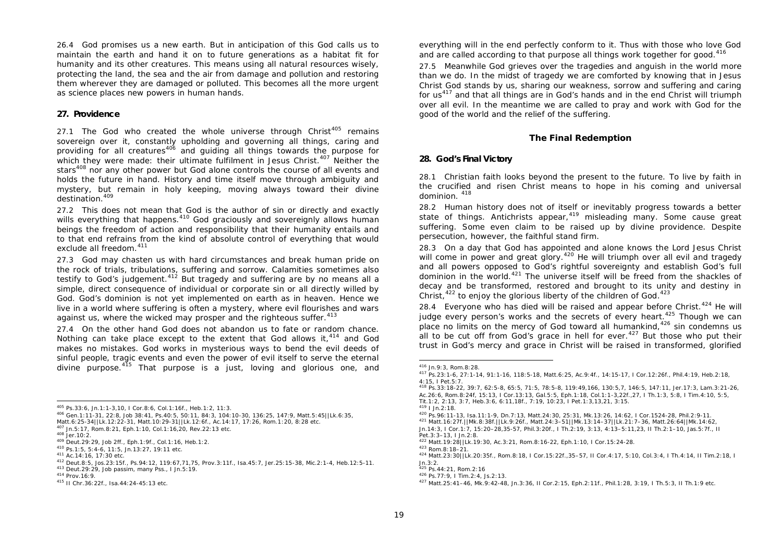26.4 God promises us a new earth. But in anticipation of this God calls us to maintain the earth and hand it on to future generations as a habitat fit for humanity and its other creatures. This means using all natural resources wisely, protecting the land, the sea and the air from damage and pollution and restoring them wherever they are damaged or polluted. This becomes all the more urgent as science places new powers in human hands.

# **27. Providence**

27.1 The God who created the whole universe through Christ<sup>405</sup> remains sovereign over it, constantly upholding and governing all things, caring and providing for all creatures<sup>406</sup> and quiding all things towards the purpose for which they were made: their ultimate fulfilment in Jesus Christ.<sup>407</sup> Neither the stars<sup>408</sup> nor any other power but God alone controls the course of all events and holds the future in hand. History and time itself move through ambiguity and mystery, but remain in holy keeping, moving always toward their divine destination.<sup>409</sup>

27.2 This does not mean that God is the author of sin or directly and exactly wills everything that happens.<sup>410</sup> God graciously and sovereignly allows human beings the freedom of action and responsibility that their humanity entails and to that end refrains from the kind of absolute control of everything that would exclude all freedom.<sup>411</sup>

27.3 God may chasten us with hard circumstances and break human pride on the rock of trials, tribulations, suffering and sorrow. Calamities sometimes also testify to God's judgement.<sup>412</sup> But tragedy and suffering are by no means all a simple, direct consequence of individual or corporate sin or all directly willed by God. God's dominion is not yet implemented on earth as in heaven. Hence we live in a world where suffering is often a mystery, where evil flourishes and wars against us, where the wicked may prosper and the righteous suffer.<sup>413</sup>

27.4 On the other hand God does not abandon us to fate or random chance. Nothing can take place except to the extent that God allows it,  $4^{14}$  and God makes no mistakes. God works in mysterious ways to bend the evil deeds of sinful people, tragic events and even the power of evil itself to serve the eternal divine purpose.<sup>415</sup> That purpose is a just, loving and glorious one, and everything will in the end perfectly conform to it. Thus with those who love God and are called according to that purpose all things work together for good.<sup>416</sup>

27.5 Meanwhile God grieves over the tragedies and anguish in the world more than we do. In the midst of tragedy we are comforted by knowing that in Jesus Christ God stands by us, sharing our weakness, sorrow and suffering and caring for  $us^{417}$  and that all things are in God's hands and in the end Christ will triumph over all evil. In the meantime we are called to pray and work with God for the good of the world and the relief of the suffering.

### **The Final Redemption**

### **28. God's Final Victory**

28.1 Christian faith looks beyond the present to the future. To live by faith in the crucified and risen Christ means to hope in his coming and universal dominion. <sup>418</sup>

28.2 Human history does not of itself or inevitably progress towards a better state of things. Antichrists appear,<sup>419</sup> misleading many. Some cause great suffering. Some even claim to be raised up by divine providence. Despite persecution, however, the faithful stand firm.

28.3 On a day that God has appointed and alone knows the Lord Jesus Christ will come in power and great glory.<sup>420</sup> He will triumph over all evil and tragedy and all powers opposed to God's rightful sovereignty and establish God's full dominion in the world.<sup>421</sup> The universe itself will be freed from the shackles of decay and be transformed, restored and brought to its unity and destiny in Christ, $422$  to enjoy the glorious liberty of the children of God. $423$ 

28.4 Everyone who has died will be raised and appear before Christ.<sup>424</sup> He will judge every person's works and the secrets of every heart.<sup>425</sup> Though we can place no limits on the mercy of God toward all humankind, $426$  sin condemns us all to be cut off from God's grace in hell for ever.<sup>427</sup> But those who put their trust in God's mercy and grace in Christ will be raised in transformed, glorified

 <sup>405</sup> Ps.33:6, Jn.1:1-3,10, I Cor.8:6, Col.1:16f., Heb.1:2, 11:3.

<sup>406</sup> Gen.1:11-31, 22:8, Job 38:41, Ps.40:5, 50:11, 84:3, 104:10-30, 136:25, 147:9, Matt.5:45||Lk.6:35, Matt.6:25-34||Lk.12:22-31, Matt.10:29-31||Lk.12:6f., Ac.14:17, 17:26, Rom.1:20, 8:28 etc.

<sup>407</sup> Jn.5:17, Rom.8:21, Eph.1:10, Col.1:16,20, Rev.22:13 etc.

<sup>408</sup> Jer.10:2.

<sup>409</sup> Deut.29:29, Job 2ff., Eph.1:9f., Col.1:16, Heb.1:2.

<sup>410</sup> Ps.1:5, 5:4-6, 11:5, Jn.13:27, 19:11 etc.

<sup>411</sup> Ac.14:16, 17:30 etc.

<sup>412</sup> Deut.8:5, Jos.23:15f., Ps.94:12, 119:67,71,75, Prov.3:11f., Isa.45:7, Jer.25:15-38, Mic.2:1-4, Heb.12:5-11. <sup>413</sup> Deut.29:29, Job *passim*, many Pss., I Jn.5:19.

<sup>414</sup> Prov.16:9.

<sup>415</sup> II Chr.36:22f., Isa.44:24-45:13 etc.

 <sup>416</sup> Jn.9:3, Rom.8:28.

<sup>417</sup> Ps.23:1-6, 27:1-14, 91:1-16, 118:5-18, Matt.6:25, Ac.9:4f., 14:15-17, I Cor.12:26f., Phil.4:19, Heb.2:18, 4:15, I Pet.5:7.

<sup>418</sup> Ps.33:18-22, 39:7, 62:5-8, 65:5, 71:5, 78:5-8, 119:49,166, 130:5,7, 146:5, 147:11, Jer.17:3, Lam.3:21-26, Ac.26:6, Rom.8:24f, 15:13, I Cor.13:13, Gal.5:5, Eph.1:18, Col.1:1-3,22f.,27, I Th.1:3, 5:8, I Tim.4:10, 5:5, Tit.1:2, 2:13, 3:7, Heb.3:6, 6:11,18f., 7:19, 10:23, I Pet.1:3,13,21, 3:15.

<sup>419</sup> I Jn.2:18.

<sup>420</sup> Ps.96:11-13, Isa.11:1-9, Dn.7:13, Matt.24:30, 25:31, Mk.13:26, 14:62, I Cor.1524-28, Phil.2:9-11.

<sup>421</sup> Matt.16:27f.||Mk.8:38f.||Lk.9:26f., Matt.24:3–51||Mk.13:14–37||Lk.21:7–36, Matt.26:64||Mk.14:62,

Jn.14:3, I Cor.1:7, 15:20–28,35-57, Phil.3:20f., I Th.2:19, 3:13, 4:13–5:11,23, II Th.2:1–10, Jas.5:7f., II Pet.3:3–13, I Jn.2:8.

<sup>422</sup> Matt.19:28||Lk.19:30, Ac.3:21, Rom.8:16-22, Eph.1:10, I Cor.15:24-28.

<sup>423</sup> Rom.8:18–21.

<sup>424</sup> Matt.23:30||Lk.20:35f., Rom.8:18, I Cor.15:22f.,35–57, II Cor.4:17, 5:10, Col.3:4, I Th.4:14, II Tim.2:18, I Jn.3:2.

<sup>425</sup> Ps.44:21, Rom.2:16

<sup>426</sup> Ps.77:9, I Tim.2:4, Js.2:13.

<sup>427</sup> Matt.25:41–46, Mk.9:42-48, Jn.3:36, II Cor.2:15, Eph.2:11f., Phil.1:28, 3:19, I Th.5:3, II Th.1:9 etc.